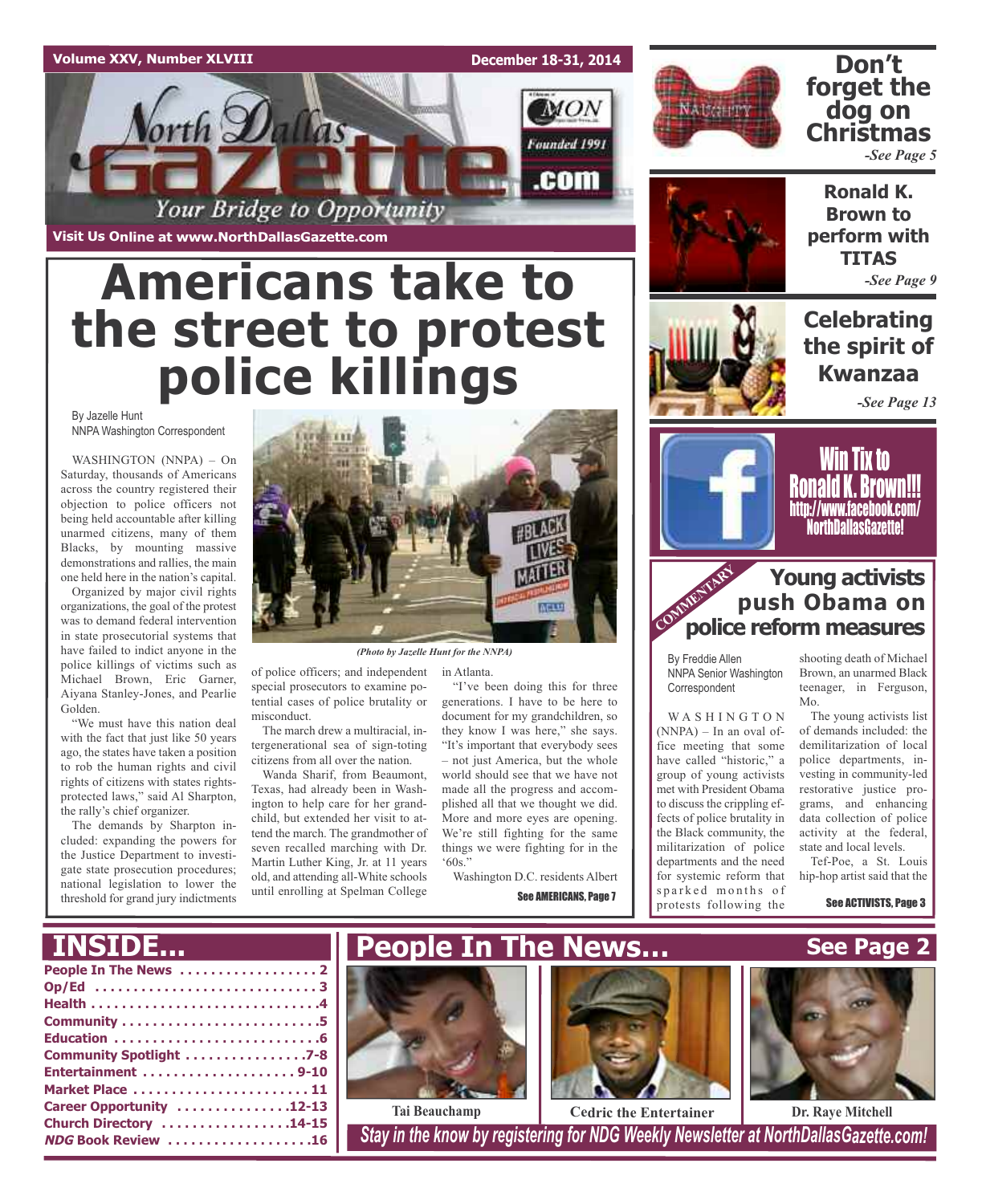## **Volume XXV, Number XLVIII**

**December 18-31, 2014**

**MON** 

Founded 1991

.com



## **Don't forget the dog on Christmas**

**Ronald K. Brown to perform with TITAS**

*-See Page 5*

**Visit Us Online at www.NorthDallasGazette.com**

orth Dallas

# **Americans take to the street to protest police killings**

Your Bridge to Opportunity

By Jazelle Hunt NNPA Washington Correspondent

WASHINGTON (NNPA) – On Saturday, thousands of Americans across the country registered their objection to police officers not being held accountable after killing unarmed citizens, many of them Blacks, by mounting massive demonstrations and rallies, the main one held here in the nation's capital.

Organized by major civil rights organizations, the goal of the protest was to demand federal intervention in state prosecutorial systems that have failed to indict anyone in the police killings of victims such as Michael Brown, Eric Garner, Aiyana Stanley-Jones, and Pearlie Golden.

"We must have this nation deal with the fact that just like 50 years ago, the states have taken a position to rob the human rights and civil rights of citizens with states rightsprotected laws," said Al Sharpton, the rally's chief organizer.

The demands by Sharpton included: expanding the powers for the Justice Department to investigate state prosecution procedures; national legislation to lower the threshold for grand jury indictments



*(Photo by Jazelle Hunt for the NNPA)*

in Atlanta.

of police officers; and independent special prosecutors to examine potential cases of police brutality or misconduct.

The march drew a multiracial, intergenerational sea of sign-toting citizens from all over the nation.

Wanda Sharif, from Beaumont, Texas, had already been in Washington to help care for her grandchild, but extended her visit to attend the march. The grandmother of seven recalled marching with Dr. Martin Luther King, Jr. at 11 years old, and attending all-White schools until enrolling at Spelman College

"I've been doing this for three generations. I have to be here to document for my grandchildren, so they know I was here," she says. "It's important that everybody sees – not just America, but the whole world should see that we have not made all the progress and accomplished all that we thought we did. More and more eyes are opening. We're still fighting for the same things we were fighting for in the '60s."

Washington D.C. residents Albert See **AMERICANS**, Page 7



## **Celebrating the spirit of Kwanzaa** *-See Page 9*

*-See Page 13*



Win Tix to Ronald K. Brown!!! http://www.facebook.com/ NorthDallasGazette!

## **Police reform measures Young activists push Obama on**

By Freddie Allen NNPA Senior Washington Correspondent

WASHINGTON (NNPA) – In an oval office meeting that some have called "historic," a group of young activists met with President Obama to discuss the crippling effects of police brutality in the Black community, the militarization of police departments and the need for systemic reform that sparked months of protests following the

shooting death of Michael Brown, an unarmed Black teenager, in Ferguson, Mo.

The young activists list of demands included: the demilitarization of local police departments, investing in community-led restorative justice programs, and enhancing data collection of police activity at the federal, state and local levels.

Tef-Poe, a St. Louis hip-hop artist said that the

See ACTIVISTS, Page 3

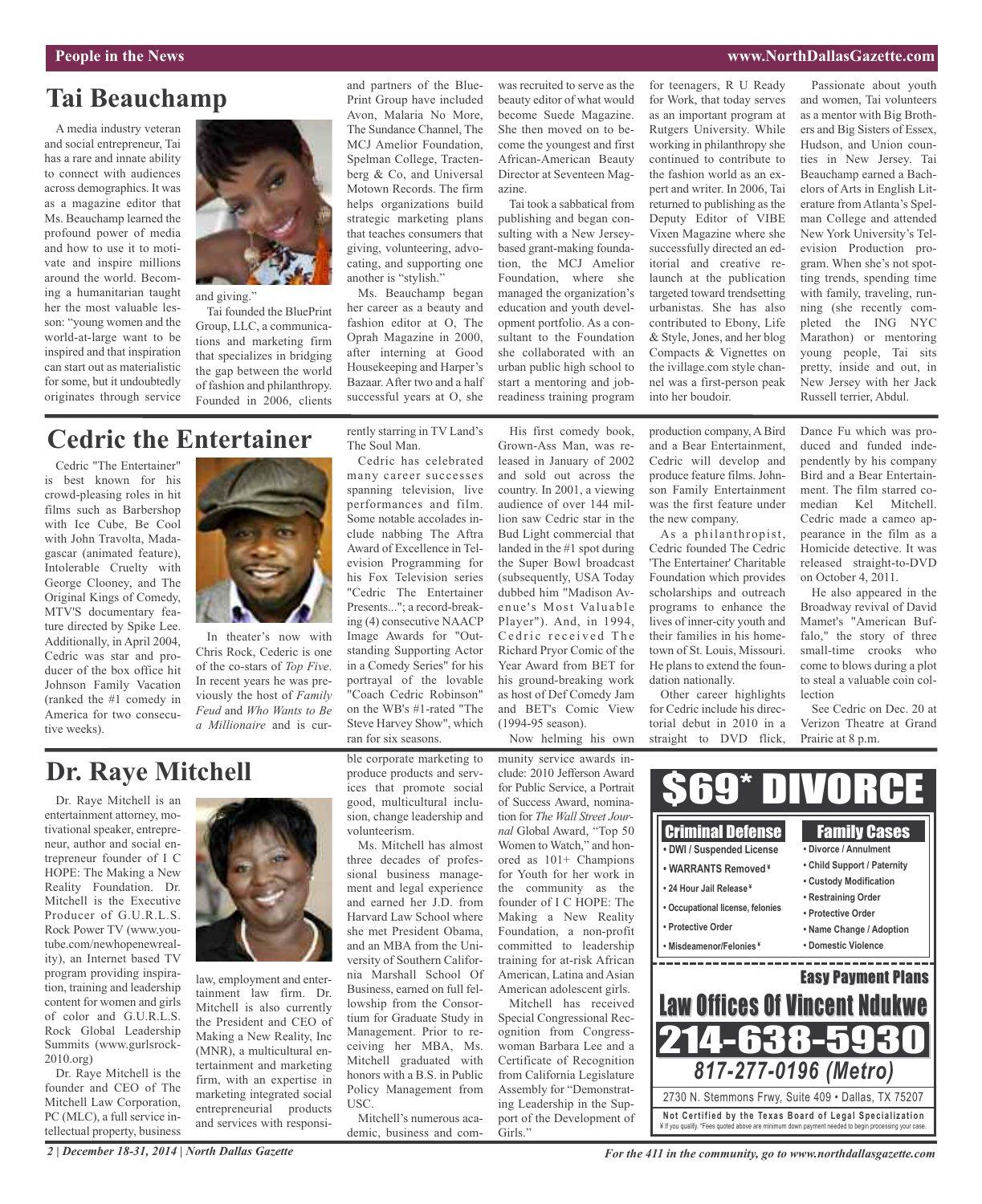## **People in the News www.NorthDallasGazette.com**

## **Tai Beauchamp**

A media industry veteran and social entrepreneur, Tai has a rare and innate ability to connect with audiences across demographics. It was as a magazine editor that Ms. Beauchamp learned the profound power of media and how to use it to motivate and inspire millions around the world. Becoming a humanitarian taught her the most valuable lesson: "young women and the world-at-large want to be inspired and that inspiration can start out as materialistic for some, but it undoubtedly originates through service



and giving."

Tai founded the BluePrint Group, LLC, a communications and marketing firm that specializes in bridging the gap between the world of fashion and philanthropy. Founded in 2006, clients

## and partners of the Blue-Print Group have included Avon, Malaria No More, The Sundance Channel, The MCJ Amelior Foundation, Spelman College, Tractenberg & Co, and Universal Motown Records. The firm helps organizations build strategic marketing plans that teaches consumers that giving, volunteering, advocating, and supporting one another is "stylish."

Ms. Beauchamp began her career as a beauty and fashion editor at O, The Oprah Magazine in 2000, after interning at Good Housekeeping and Harper's Bazaar. After two and a half successful years at O, she was recruited to serve as the beauty editor of what would become Suede Magazine. She then moved on to become the youngest and first African-American Beauty Director at Seventeen Magazine.

Tai took a sabbatical from publishing and began consulting with a New Jerseybased grant-making foundation, the MCJ Amelior Foundation, where she managed the organization's education and youth development portfolio. As a consultant to the Foundation she collaborated with an urban public high school to start a mentoring and jobreadiness training program

His first comedy book,

for teenagers, R U Ready for Work, that today serves as an important program at Rutgers University. While working in philanthropy she continued to contribute to the fashion world as an expert and writer. In 2006, Tai returned to publishing as the Deputy Editor of VIBE Vixen Magazine where she successfully directed an editorial and creative relaunch at the publication targeted toward trendsetting urbanistas. She has also contributed to Ebony, Life & Style, Jones, and her blog Compacts & Vignettes on the ivillage.com style channel was a first-person peak into her boudoir.

Passionate about youth and women, Tai volunteers as a mentor with Big Brothers and Big Sisters of Essex, Hudson, and Union counties in New Jersey. Tai Beauchamp earned a Bachelors of Arts in English Literature from Atlanta's Spelman College and attended New York University's Television Production program. When she's not spotting trends, spending time with family, traveling, running (she recently completed the ING NYC Marathon) or mentoring young people, Tai sits pretty, inside and out, in New Jersey with her Jack Russell terrier, Abdul.

## **Cedric the Entertainer**

Cedric "The Entertainer" is best known for his crowd-pleasing roles in hit films such as Barbershop with Ice Cube, Be Cool with John Travolta, Madagascar (animated feature), Intolerable Cruelty with George Clooney, and The Original Kings of Comedy, MTV'S documentary feature directed by Spike Lee. Additionally, in April 2004, Cedric was star and producer of the box office hit Johnson Family Vacation (ranked the #1 comedy in America for two consecutive weeks).



In theater's now with Chris Rock, Cederic is one of the co-stars of *Top Five*. In recent years he was previously the host of *Family Feud* and *Who Wants to Be a Millionaire* and is currently starring in TV Land's The Soul Man.

Cedric has celebrated many career successes spanning television, live performances and film. Some notable accolades include nabbing The Aftra Award of Excellence in Television Programming for his Fox Television series "Cedric The Entertainer Presents..."; a record-breaking (4) consecutive NAACP Image Awards for "Outstanding Supporting Actor in a Comedy Series" for his portrayal of the lovable "Coach Cedric Robinson" on the WB's #1-rated "The Steve Harvey Show", which ran for six seasons.

Grown-Ass Man, was released in January of 2002 and sold out across the country. In 2001, a viewing audience of over 144 million saw Cedric star in the Bud Light commercial that landed in the #1 spot during the Super Bowl broadcast (subsequently, USA Today dubbed him "Madison Avenue's Most Valuable Player"). And, in 1994, Cedric received The Richard Pryor Comic of the Year Award from BET for his ground-breaking work as host of Def Comedy Jam and BET's Comic View (1994-95 season).

Now helming his own munity service awards inproduction company, A Bird and a Bear Entertainment, Cedric will develop and produce feature films. Johnson Family Entertainment was the first feature under the new company.

As a philanthropist, Cedric founded The Cedric 'The Entertainer' Charitable Foundation which provides scholarships and outreach programs to enhance the lives of inner-city youth and their families in his hometown of St. Louis, Missouri. He plans to extend the foundation nationally.

Other career highlights for Cedric include his directorial debut in 2010 in a straight to DVD flick,

Dance Fu which was produced and funded independently by his company Bird and a Bear Entertainment. The film starred comedian Kel Mitchell. Cedric made a cameo appearance in the film as a Homicide detective. It was released straight-to-DVD on October 4, 2011.

He also appeared in the Broadway revival of David Mamet's "American Buffalo," the story of three small-time crooks who come to blows during a plot to steal a valuable coin collection

See Cedric on Dec. 20 at Verizon Theatre at Grand Prairie at 8 p.m.

| ward<br>rtrait<br>nina-                                                        |                                                                                                                                                                                                                     | DIVORCE                                                                                                                                                                                               |
|--------------------------------------------------------------------------------|---------------------------------------------------------------------------------------------------------------------------------------------------------------------------------------------------------------------|-------------------------------------------------------------------------------------------------------------------------------------------------------------------------------------------------------|
| Iour-<br>p 50<br>hon-<br>ions<br>k in<br>the<br>The<br>ality<br>rofit<br>ship: | <b>Criminal Defense</b><br>• DWI / Suspended License<br>• WARRANTS Removed <sup>¥</sup><br>• 24 Hour Jail Release*<br>• Occupational license, felonies<br>• Protective Order<br>• Misdeamenor/Felonies <sup>*</sup> | <b>Family Cases</b><br>• Divorce / Annulment<br>• Child Support / Paternity<br>• Custody Modification<br>• Restraining Order<br>• Protective Order<br>• Name Change / Adoption<br>• Domestic Violence |
| ican<br>sian)<br>irls.<br>ived<br>Rec-                                         | <b>Law Offices Of Vincent Ndukwe</b>                                                                                                                                                                                | <b>Easy Payment Plans</b>                                                                                                                                                                             |
| ress-<br>nd a<br>ition<br>ature<br>strat-                                      | 4-638-593<br>817-277-0196 (Metro)<br>2730 N. Stemmons Frwy, Suite 409 · Dallas, TX 75207                                                                                                                            |                                                                                                                                                                                                       |
| Sup-<br>nt of                                                                  | Not Certified by the Texas Board of Legal Specialization<br>¥ If you qualify. *Fees quoted above are minimum down payment needed to begin processing your case.                                                     |                                                                                                                                                                                                       |

## **Dr. Raye Mitchell**

Dr. Raye Mitchell is an entertainment attorney, motivational speaker, entrepreneur, author and social entrepreneur founder of I C HOPE: The Making a New Reality Foundation. Dr. Mitchell is the Executive Producer of G.U.R.L.S. Rock Power TV (www.youtube.com/newhopenewreality), an Internet based TV program providing inspiration, training and leadership content for women and girls of color and G.U.R.L.S. Rock Global Leadership Summits (www.gurlsrock-2010.org)

Dr. Raye Mitchell is the founder and CEO of The Mitchell Law Corporation, PC (MLC), a full service intellectual property, business

*2 | December 18-31, 2014 | North Dallas Gazette*



law, employment and entertainment law firm. Dr. Mitchell is also currently the President and CEO of Making a New Reality, Inc (MNR), a multicultural entertainment and marketing firm, with an expertise in marketing integrated social entrepreneurial products and services with responsible corporate marketing to produce products and services that promote social good, multicultural inclusion, change leadership and volunteerism.

Ms. Mitchell has almost three decades of professional business management and legal experience and earned her J.D. from Harvard Law School where she met President Obama, and an MBA from the University of Southern California Marshall School Of Business, earned on full fellowship from the Consortium for Graduate Study in Management. Prior to receiving her MBA, Ms. Mitchell graduated with honors with a B.S. in Public Policy Management from USC.

Mitchell's numerous academic, business and com-

clude: 2010 Jefferson Ay for Public Service, a Port of Success Award, non tion for *The Wall Street* J *nal* Global Award, "Top Women to Watch," and ored as  $101+$  Champ for Youth for her wor the community as founder of I C HOPE: Making a New Re Foundation, a non-p committed to leader training for at-risk Afr American, Latina and A American adolescent gi

Mitchell has rece Special Congressional ognition from Congr woman Barbara Lee and Certificate of Recogni from California Legisla Assembly for "Demons ing Leadership in the port of the Developmen Girls."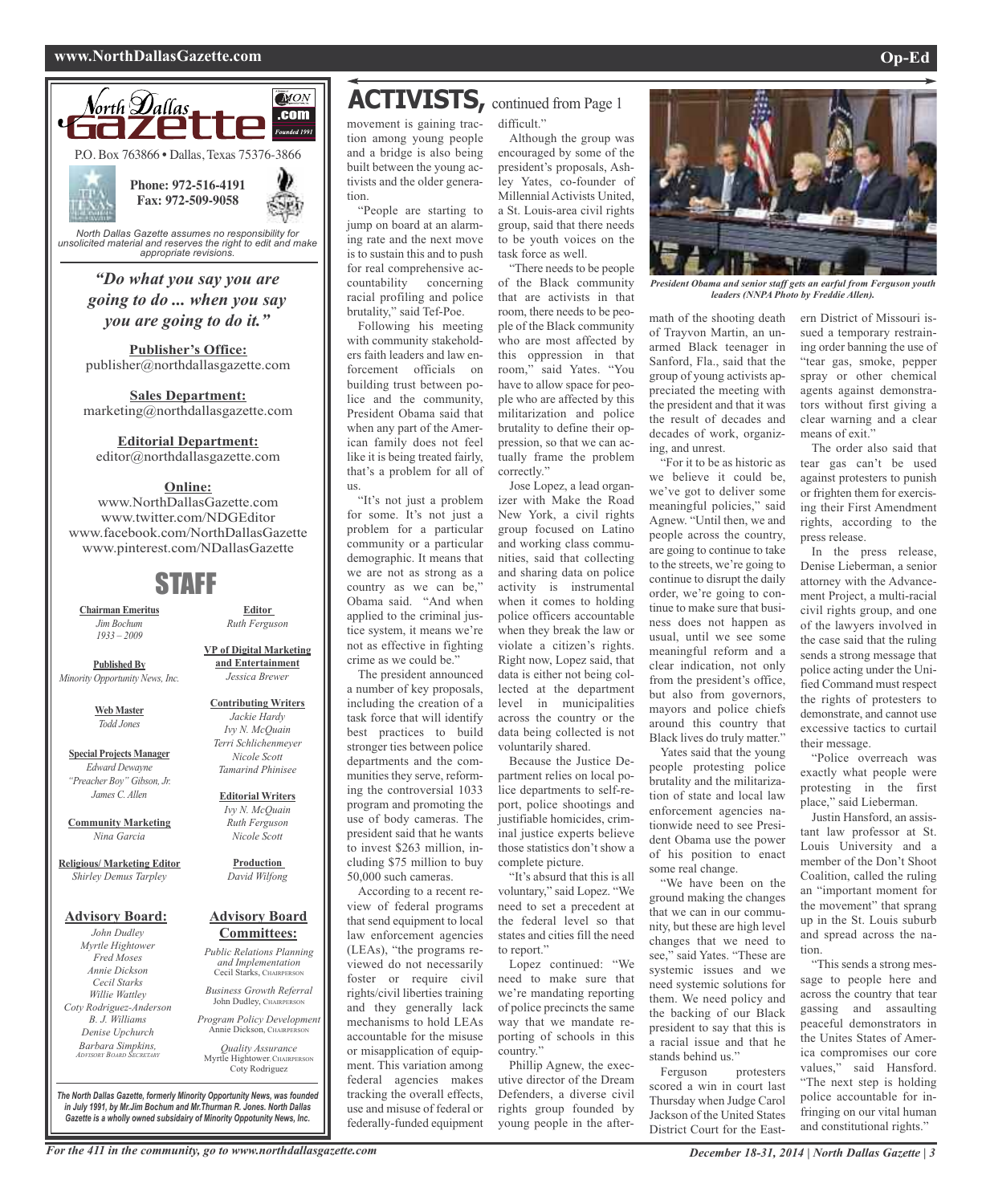## **www.NorthDallasGazette.com Op-Ed**



*"Do what you say you are going to do ... when you say you are going to do it."*

**Publisher's Office:** publisher@northdallasgazette.com

**Sales Department:** marketing@northdallasgazette.com

### **Editorial Department:**

editor@northdallasgazette.com

## **Online:**

www.NorthDallasGazette.com www.twitter.com/NDGEditor www.facebook.com/NorthDallasGazette www.pinterest.com/NDallasGazette

## STAFF

**Chairman Emeritus** *Jim Bochum 1933 – 2009*

**Published By** *Minority Opportunity News, Inc.*

> **Web Master** *Todd Jones*

**Special Projects Manager** *Edward Dewayne "Preacher Boy" Gibson, Jr. James C. Allen*

**Community Marketing** *Nina Garcia*

**Religious/ Marketing Editor** *Shirley Demus Tarpley*

### **Advisory Board:**

*John Dudley Myrtle Hightower Fred Moses Annie Dickson Cecil Starks Willie Wattley Coty Rodriguez-Anderson B. J. Williams Denise Upchurch Barbara Simpkins, ADVISORY BOARD SECRETARY*

**VP of Digital Marketing and Entertainment** *Jessica Brewer*

**Editor** *Ruth Ferguson*

**Contributing Writers** *Jackie Hardy Ivy N. McQuain Terri Schlichenmeyer Nicole Scott*

## *Tamarind Phinisee*

**Editorial Writers** *Ivy N. McQuain Ruth Ferguson Nicole Scott*

**Production** *David Wilfong*

### **Advisory Board Committees:**

*Public Relations Planning and Implementation* Cecil Starks, CHAIRPERSON

*Business Growth Referral* John Dudley, CHAIRPERSON

*Program Policy Development* Annie Dickson, CHAIRPER

*Quality Assurance* Myrtle Hightower, CHAIRPERSON Coty Rodriguez

**ACTIVISTS,** continued from Page <sup>1</sup>

movement is gaining traction among young people and a bridge is also being built between the young activists and the older generation.

"People are starting to jump on board at an alarming rate and the next move is to sustain this and to push for real comprehensive accountability concerning racial profiling and police brutality," said Tef-Poe.

Following his meeting with community stakeholders faith leaders and law enforcement officials on building trust between police and the community, President Obama said that when any part of the American family does not feel like it is being treated fairly, that's a problem for all of us.

"It's not just a problem for some. It's not just a problem for a particular community or a particular demographic. It means that we are not as strong as a country as we can be," Obama said. "And when applied to the criminal justice system, it means we're not as effective in fighting crime as we could be."

The president announced a number of key proposals, including the creation of a task force that will identify best practices to build stronger ties between police departments and the communities they serve, reforming the controversial 1033 program and promoting the use of body cameras. The president said that he wants to invest \$263 million, including \$75 million to buy 50,000 such cameras.

According to a recent review of federal programs that send equipment to local law enforcement agencies (LEAs), "the programs reviewed do not necessarily foster or require civil rights/civil liberties training and they generally lack mechanisms to hold LEAs accountable for the misuse or misapplication of equipment. This variation among federal agencies makes tracking the overall effects, use and misuse of federal or federally-funded equipment

difficult." Although the group was

encouraged by some of the president's proposals, Ashley Yates, co-founder of Millennial Activists United, a St. Louis-area civil rights group, said that there needs to be youth voices on the task force as well.

"There needs to be people of the Black community that are activists in that room, there needs to be people of the Black community who are most affected by this oppression in that room," said Yates. "You have to allow space for people who are affected by this militarization and police brutality to define their oppression, so that we can actually frame the problem correctly."

Jose Lopez, a lead organizer with Make the Road New York, a civil rights group focused on Latino and working class communities, said that collecting and sharing data on police activity is instrumental when it comes to holding police officers accountable when they break the law or violate a citizen's rights. Right now, Lopez said, that data is either not being collected at the department level in municipalities across the country or the data being collected is not voluntarily shared.

Because the Justice Department relies on local police departments to self-report, police shootings and justifiable homicides, criminal justice experts believe those statistics don't show a complete picture.

"It's absurd that this is all voluntary," said Lopez. "We need to set a precedent at the federal level so that states and cities fill the need to report."

Lopez continued: "We need to make sure that we're mandating reporting of police precincts the same way that we mandate reporting of schools in this country.'

Phillip Agnew, the executive director of the Dream Defenders, a diverse civil rights group founded by young people in the after-



*President Obama and senior staff gets an earful from Ferguson youth leaders (NNPA Photo by Freddie Allen).*

math of the shooting death of Trayvon Martin, an unarmed Black teenager in Sanford, Fla., said that the group of young activists appreciated the meeting with the president and that it was the result of decades and decades of work, organizing, and unrest.

"For it to be as historic as we believe it could be, we've got to deliver some meaningful policies," said Agnew. "Until then, we and people across the country, are going to continue to take to the streets, we're going to continue to disrupt the daily order, we're going to continue to make sure that business does not happen as usual, until we see some meaningful reform and a clear indication, not only from the president's office, but also from governors, mayors and police chiefs around this country that Black lives do truly matter."

Yates said that the young people protesting police brutality and the militarization of state and local law enforcement agencies nationwide need to see President Obama use the power of his position to enact some real change.

"We have been on the ground making the changes that we can in our community, but these are high level changes that we need to see," said Yates. "These are systemic issues and we need systemic solutions for them. We need policy and the backing of our Black president to say that this is a racial issue and that he stands behind us."

Ferguson protesters scored a win in court last Thursday when Judge Carol Jackson of the United States District Court for the Eastern District of Missouri issued a temporary restraining order banning the use of "tear gas, smoke, pepper spray or other chemical agents against demonstrators without first giving a clear warning and a clear means of exit."

The order also said that tear gas can't be used against protesters to punish or frighten them for exercising their First Amendment rights, according to the press release.

In the press release, Denise Lieberman, a senior attorney with the Advancement Project, a multi-racial civil rights group, and one of the lawyers involved in the case said that the ruling sends a strong message that police acting under the Unified Command must respect the rights of protesters to demonstrate, and cannot use excessive tactics to curtail their message.

"Police overreach was exactly what people were protesting in the first place," said Lieberman.

Justin Hansford, an assistant law professor at St. Louis University and a member of the Don't Shoot Coalition, called the ruling an "important moment for the movement" that sprang up in the St. Louis suburb and spread across the nation.

"This sends a strong message to people here and across the country that tear gassing and assaulting peaceful demonstrators in the Unites States of America compromises our core values," said Hansford. "The next step is holding police accountable for infringing on our vital human and constitutional rights."

*The North Dallas Gazette, formerly Minority Opportunity News, was founded in July 1991, by Mr.Jim Bochum and Mr.Thurman R. Jones. North Dallas Gazette is a wholly owned subsidairy of Minority Oppotunity News, Inc.*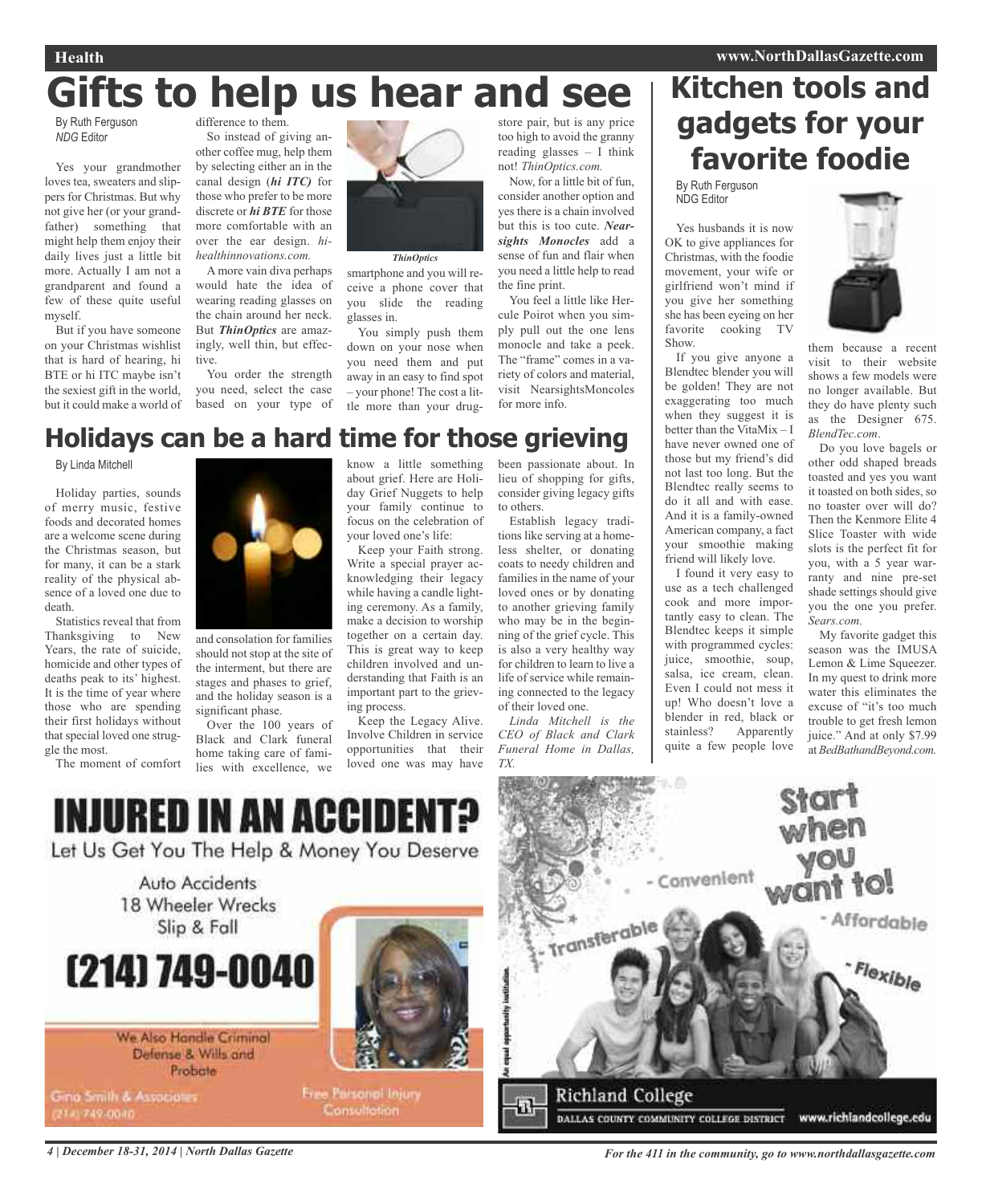# **Gifts to help us hear and see**

By Ruth Ferguson *NDG* Editor

Yes your grandmother loves tea, sweaters and slippers for Christmas. But why not give her (or your grandfather) something that might help them enjoy their daily lives just a little bit more. Actually I am not a grandparent and found a few of these quite useful myself.

But if you have someone on your Christmas wishlist that is hard of hearing, hi BTE or hi ITC maybe isn't the sexiest gift in the world, but it could make a world of

difference to them. So instead of giving another coffee mug, help them by selecting either an in the canal design (*hi ITC)* for those who prefer to be more discrete or *hi BTE* for those more comfortable with an over the ear design. *hihealthinnovations.com.*

A more vain diva perhaps would hate the idea of wearing reading glasses on the chain around her neck. But *ThinOptics* are amazingly, well thin, but effective.

You order the strength you need, select the case based on your type of



smartphone and you will receive a phone cover that you slide the reading glasses in.

You simply push them down on your nose when you need them and put away in an easy to find spot – your phone! The cost a little more than your drug-

### store pair, but is any price too high to avoid the granny reading glasses – I think not! *ThinOptics.com.*

Now, for a little bit of fun, consider another option and yes there is a chain involved but this is too cute. *Nearsights Monocles* add a sense of fun and flair when you need a little help to read the fine print.

You feel a little like Hercule Poirot when you simply pull out the one lens monocle and take a peek. The "frame" comes in a variety of colors and material, visit NearsightsMoncoles for more info.

# **Kitchen tools and gadgets for your favorite foodie**

By Ruth Ferguson NDG Editor

Yes husbands it is now OK to give appliances for Christmas, with the foodie movement, your wife or girlfriend won't mind if you give her something she has been eyeing on her favorite cooking TV Show.

If you give anyone a Blendtec blender you will be golden! They are not exaggerating too much when they suggest it is better than the VitaMix – I have never owned one of those but my friend's did not last too long. But the Blendtec really seems to do it all and with ease. And it is a family-owned American company, a fact your smoothie making friend will likely love.

I found it very easy to use as a tech challenged cook and more importantly easy to clean. The Blendtec keeps it simple with programmed cycles: juice, smoothie, soup, salsa, ice cream, clean. Even I could not mess it up! Who doesn't love a blender in red, black or<br>stainless? Apparently Apparently quite a few people love



them because a recent visit to their website shows a few models were no longer available. But they do have plenty such as the Designer 675. *BlendTec.com*.

Do you love bagels or other odd shaped breads toasted and yes you want it toasted on both sides, so no toaster over will do? Then the Kenmore Elite 4 Slice Toaster with wide slots is the perfect fit for you, with a 5 year warranty and nine pre-set shade settings should give you the one you prefer. *Sears.com.*

My favorite gadget this season was the IMUSA Lemon & Lime Squeezer. In my quest to drink more water this eliminates the excuse of "it's too much trouble to get fresh lemon juice." And at only \$7.99 at *BedBathandBeyond.com.*

## **Holidays can be a hard time for those grieving**

By Linda Mitchell

Holiday parties, sounds of merry music, festive foods and decorated homes are a welcome scene during the Christmas season, but for many, it can be a stark reality of the physical absence of a loved one due to death.

Statistics reveal that from Thanksgiving to New Years, the rate of suicide, homicide and other types of deaths peak to its' highest. It is the time of year where those who are spending their first holidays without that special loved one struggle the most.

The moment of comfort



and consolation for families should not stop at the site of the interment, but there are stages and phases to grief, and the holiday season is a significant phase.

Over the 100 years of Black and Clark funeral home taking care of families with excellence, we know a little something about grief. Here are Holiday Grief Nuggets to help your family continue to focus on the celebration of your loved one's life:

Keep your Faith strong. Write a special prayer acknowledging their legacy while having a candle lighting ceremony. As a family, make a decision to worship together on a certain day. This is great way to keep children involved and understanding that Faith is an important part to the grieving process.

Keep the Legacy Alive. Involve Children in service opportunities that their loved one was may have

been passionate about. In lieu of shopping for gifts, consider giving legacy gifts to others. Establish legacy tradi-

tions like serving at a homeless shelter, or donating coats to needy children and families in the name of your loved ones or by donating to another grieving family who may be in the beginning of the grief cycle. This is also a very healthy way for children to learn to live a life of service while remaining connected to the legacy of their loved one.

*Linda Mitchell is the CEO of Black and Clark Funeral Home in Dallas, TX.*



Auto Accidents 18 Wheeler Wrecks Slip & Fall



We Also Handle Criminal Defense & Wills and Probate

Gina Smith & Associates 2141749-0040



**Free Parsonal Injury** Consultation:



4 | December 18-31, 2014 | North Dallas Gazette com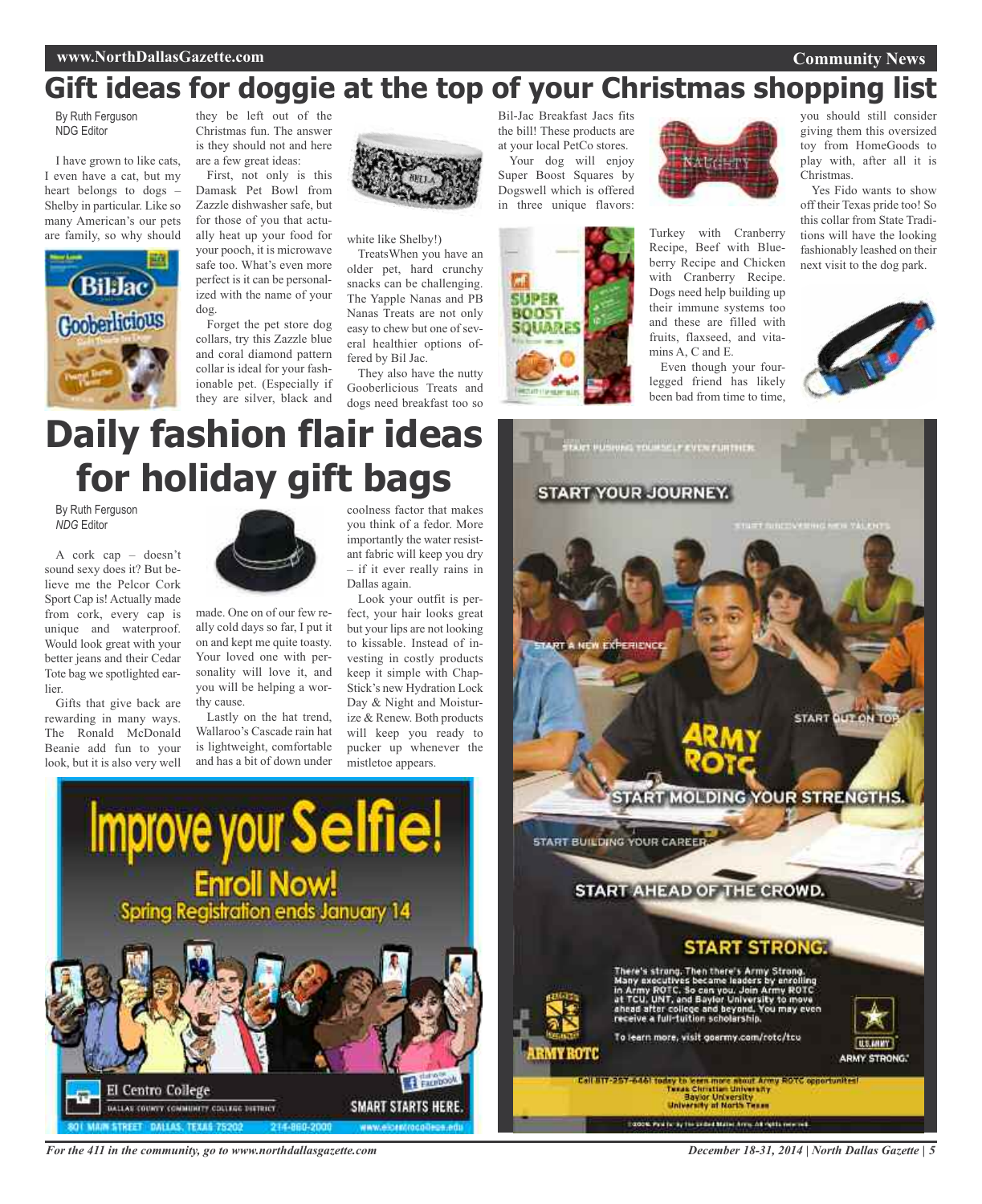## **www.NorthDallasGazette.com**

**Community News**

# **Gift ideas for doggie at the top of your Christmas shopping list**

By Ruth Ferguson NDG Editor

I have grown to like cats, I even have a cat, but my heart belongs to dogs – Shelby in particular. Like so many American's our pets are family, so why should



they be left out of the Christmas fun. The answer is they should not and here are a few great ideas:

First, not only is this Damask Pet Bowl from Zazzle dishwasher safe, but for those of you that actually heat up your food for your pooch, it is microwave safe too. What's even more perfect is it can be personalized with the name of your dog.

Forget the pet store dog collars, try this Zazzle blue and coral diamond pattern collar is ideal for your fashionable pet. (Especially if they are silver, black and



white like Shelby!)

TreatsWhen you have an older pet, hard crunchy snacks can be challenging. The Yapple Nanas and PB Nanas Treats are not only easy to chew but one of several healthier options offered by Bil Jac.

They also have the nutty Gooberlicious Treats and dogs need breakfast too so

Bil-Jac Breakfast Jacs fits the bill! These products are at your local PetCo stores.

Your dog will enjoy Super Boost Squares by Dogswell which is offered in three unique flavors:



ALC-FT

Turkey with Cranberry Recipe, Beef with Blueberry Recipe and Chicken with Cranberry Recipe. Dogs need help building up their immune systems too and these are filled with fruits, flaxseed, and vitamins A, C and E.

Even though your fourlegged friend has likely been bad from time to time,

you should still consider giving them this oversized toy from HomeGoods to play with, after all it is Christmas.

Yes Fido wants to show off their Texas pride too! So this collar from State Traditions will have the looking fashionably leashed on their next visit to the dog park.



# **Daily fashion flair ideas for holiday gift bags**

By Ruth Ferguson *NDG* Editor

A cork cap – doesn't sound sexy does it? But believe me the Pelcor Cork Sport Cap is! Actually made from cork, every cap is unique and waterproof. Would look great with your better jeans and their Cedar Tote bag we spotlighted earlier

Gifts that give back are rewarding in many ways. The Ronald McDonald Beanie add fun to your look, but it is also very well



made. One on of our few really cold days so far, I put it on and kept me quite toasty. Your loved one with personality will love it, and you will be helping a worthy cause.

Lastly on the hat trend, Wallaroo's Cascade rain hat is lightweight, comfortable and has a bit of down under

**Improve your Selfie!** 

**Enroll Now!**<br>Spring Registration ends January 14

coolness factor that makes you think of a fedor. More importantly the water resistant fabric will keep you dry – if it ever really rains in Dallas again.

Look your outfit is perfect, your hair looks great but your lips are not looking to kissable. Instead of investing in costly products keep it simple with Chap-Stick's new Hydration Lock Day & Night and Moisturize & Renew. Both products will keep you ready to pucker up whenever the mistletoe appears.

**SMART STARTS HERE** 



*For the 411 in the community, go to www.northdallasgazette.com*

GALLAS COUNTY COMMUNITY COULERS DISTRICT

El Centro College

*December 18-31, 2014 | North Dallas Gazette | 5*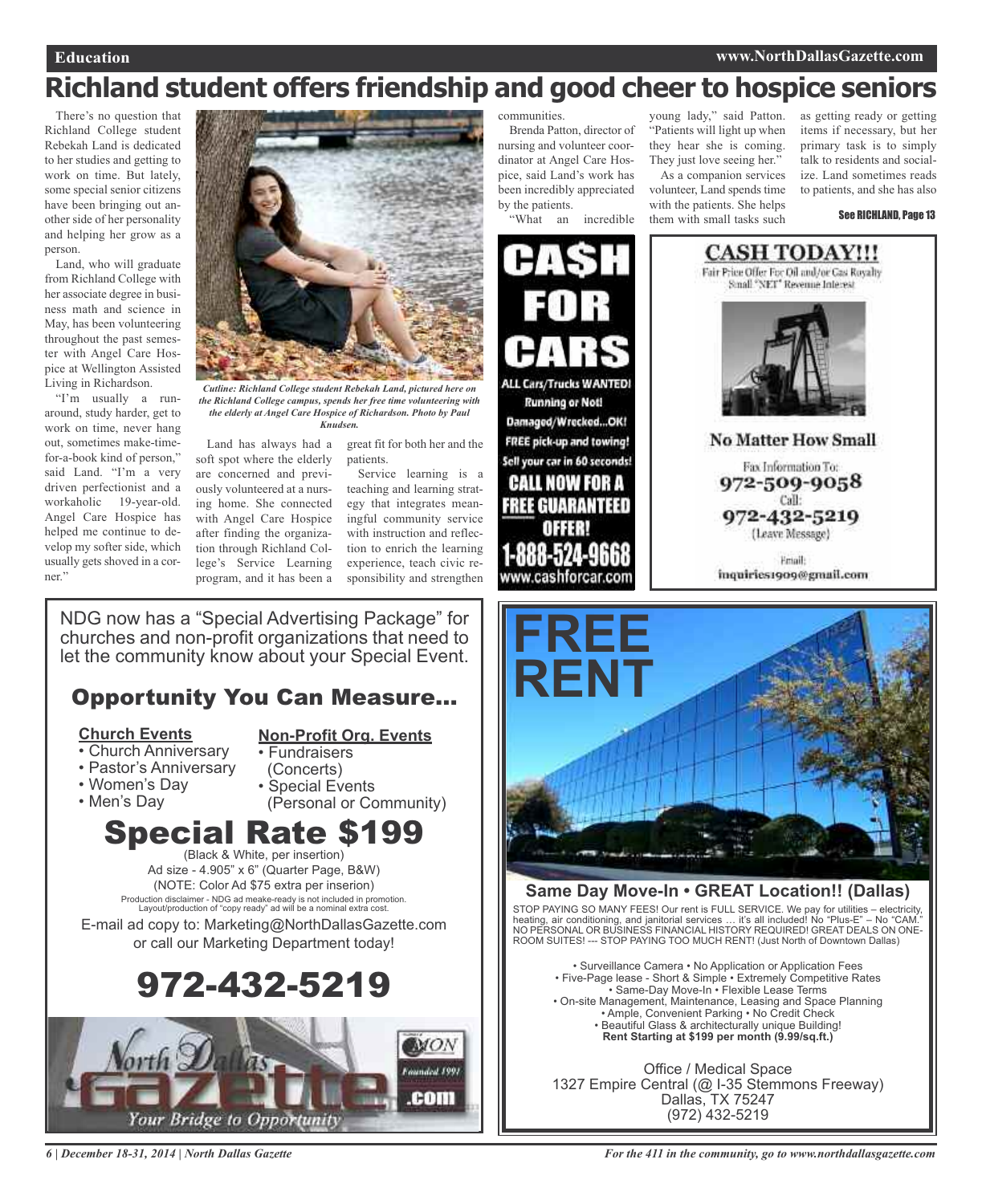# **Richland student offers friendship and good cheer to hospice seniors**

There's no question that Richland College student Rebekah Land is dedicated to her studies and getting to work on time. But lately, some special senior citizens have been bringing out another side of her personality and helping her grow as a person.

Land, who will graduate from Richland College with her associate degree in business math and science in May, has been volunteering throughout the past semester with Angel Care Hospice at Wellington Assisted Living in Richardson.

"I'm usually a runaround, study harder, get to work on time, never hang out, sometimes make-timefor-a-book kind of person," said Land. "I'm a very driven perfectionist and a workaholic 19-year-old. Angel Care Hospice has helped me continue to develop my softer side, which usually gets shoved in a corner."



*Cutline: Richland College student Rebekah Land, pictured here on the Richland College campus, spends her free time volunteering with the elderly at Angel Care Hospice of Richardson. Photo by Paul Knudsen.*

patients.

Land has always had a soft spot where the elderly are concerned and previously volunteered at a nursing home. She connected with Angel Care Hospice after finding the organization through Richland College's Service Learning experience, teach civic reprogram, and it has been a

Service learning is a teaching and learning strategy that integrates meaningful community service with instruction and reflection to enrich the learning sponsibility and strengthen

great fit for both her and the

NDG now has a "Special Advertising Package" for churches and non-profit organizations that need to let the community know about your Special Event.

## Opportunity You Can Measure...

## **Church Events**

## **Non-Profit Org. Events**

- Church Anniversary
- Pastor's Anniversary
- Women's Day
- Men's Day
- (Concerts) • Special Events (Personal or Community)

• Fundraisers

# Special Rate \$199

(Black & White, per insertion) Ad size - 4.905" x 6" (Quarter Page, B&W) (NOTE: Color Ad \$75 extra per inserion) Production disclaimer - NDG ad meake-ready is not included in promotion. Layout/production of "copy ready" ad will be a nominal extra cost.

E-mail ad copy to: Marketing@NorthDallasGazette.com or call our Marketing Department today!

# 972-432-5219



*6 | December 18-31, 2014 | North Dallas Gazette*

communities.

Brenda Patton, director of nursing and volunteer coordinator at Angel Care Hospice, said Land's work has been incredibly appreciated by the patients.

"What an incredible

young lady," said Patton. "Patients will light up when they hear she is coming. They just love seeing her."

As a companion services volunteer, Land spends time with the patients. She helps them with small tasks such

as getting ready or getting items if necessary, but her primary task is to simply talk to residents and socialize. Land sometimes reads to patients, and she has also

See RICHLAND, Page 13







## **Same Day Move-In • GREAT Location!! (Dallas)**

STOP PAYING SO MANY FEES! Our rent is FULL SERVICE. We pay for utilities – electricity, heating, air conditioning, and janitorial services … it's all included! No "Plus-E" – No "CAM." NO PERSONAL OR BUSINESS FINANCIAL HISTORY REQUIRED! GREAT DEALS ON ONE-ROOM SUITES! --- STOP PAYING TOO MUCH RENT! (Just North of Downtown Dallas)

• Surveillance Camera • No Application or Application Fees • Five-Page lease - Short & Simple • Extremely Competitive Rates • Same-Day Move-In • Flexible Lease Terms • On-site Management, Maintenance, Leasing and Space Planning • Ample, Convenient Parking • No Credit Check • Beautiful Glass & architecturally unique Building! **Rent Starting at \$199 per month (9.99/sq.ft.)**

Office / Medical Space 1327 Empire Central (@ I-35 Stemmons Freeway) Dallas, TX 75247 (972) 432-5219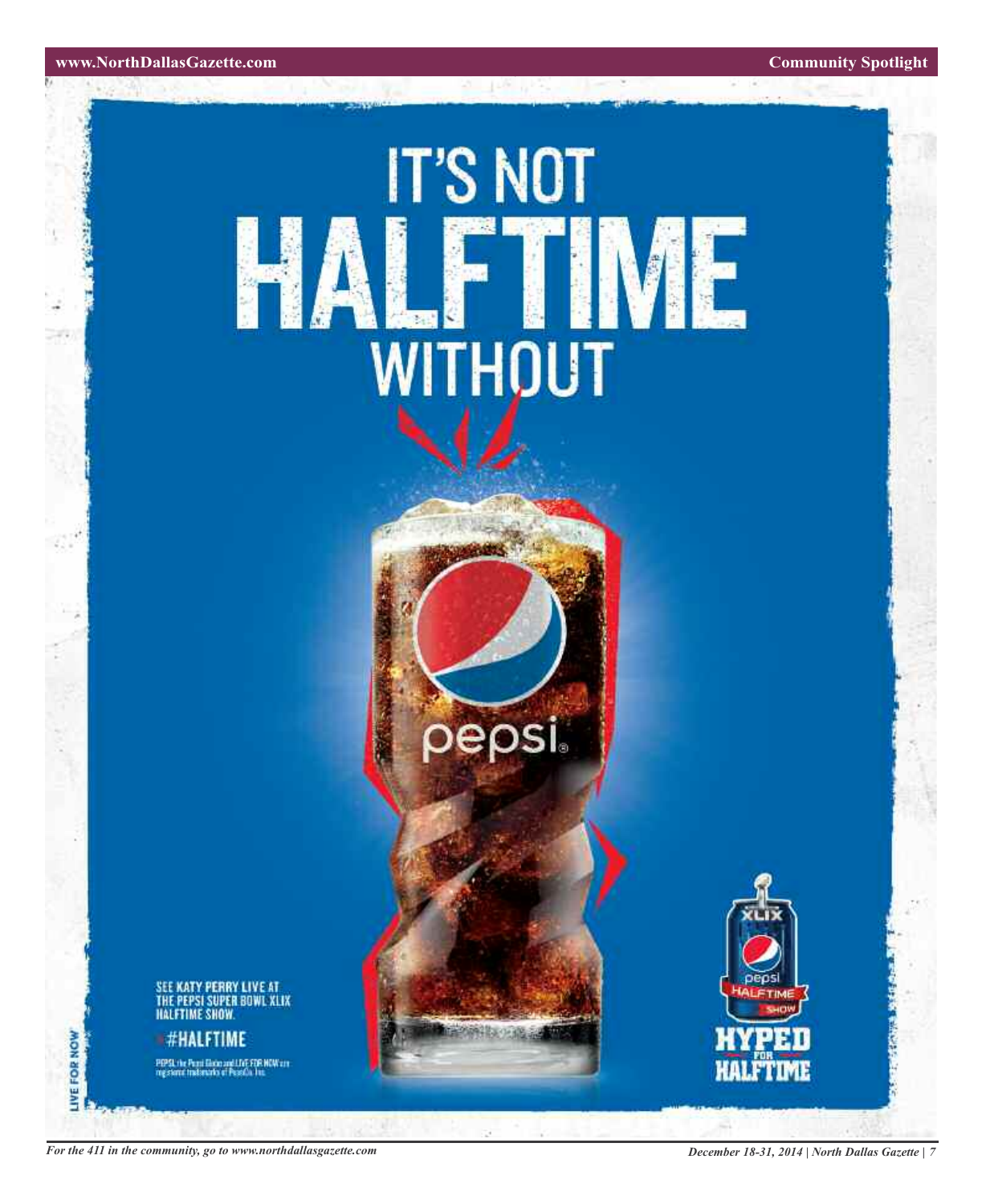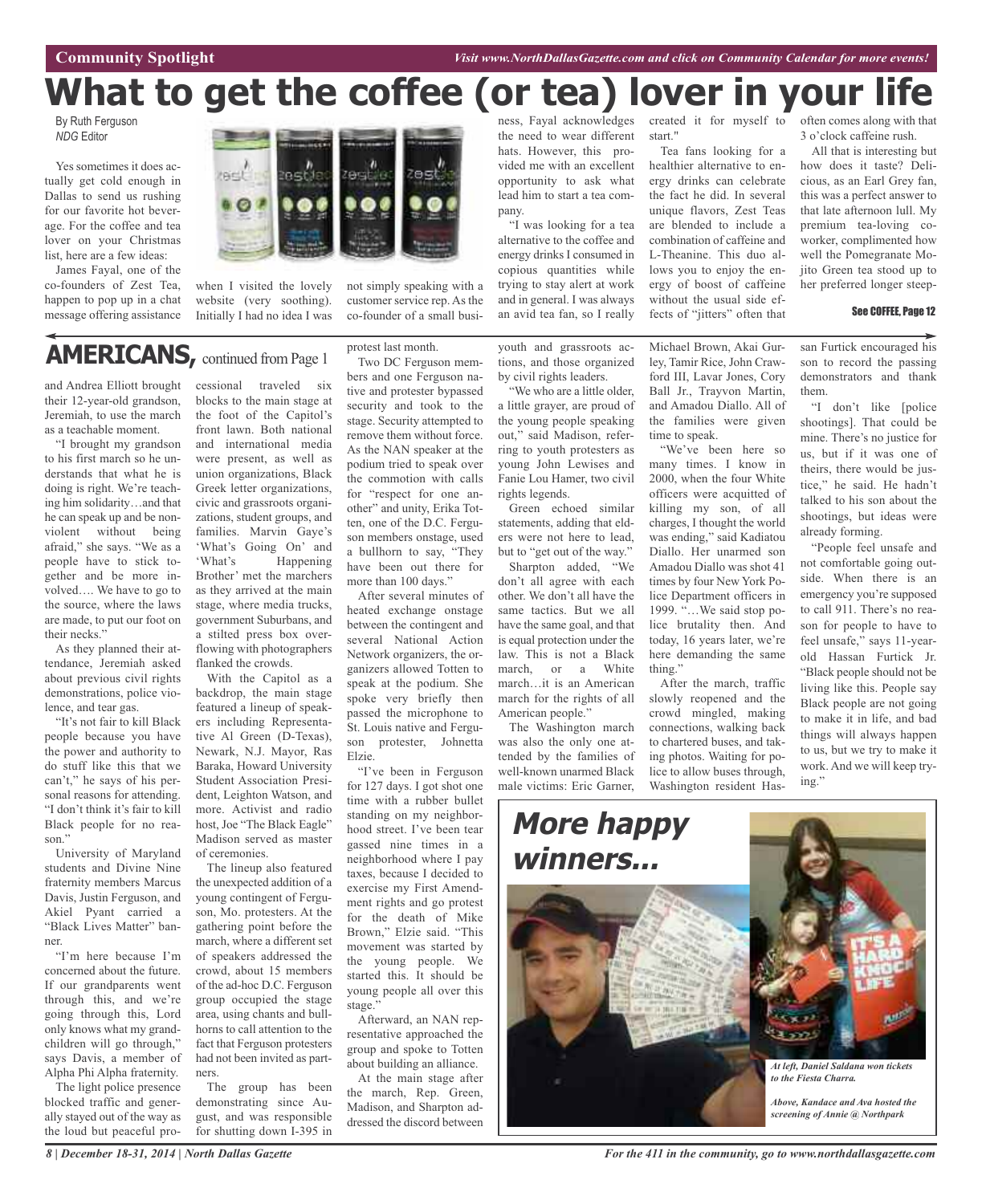**Community Spotlight** *Visit www.NorthDallasGazette.com and click on Community Calendar for more events!*

# **What to get the coffee (or tea) lover in your life**

By Ruth Ferguson *NDG* Editor

Yes sometimes it does actually get cold enough in Dallas to send us rushing for our favorite hot beverage. For the coffee and tea lover on your Christmas list, here are a few ideas:

James Fayal, one of the co-founders of Zest Tea, happen to pop up in a chat message offering assistance



when I visited the lovely website (very soothing). Initially I had no idea I was

not simply speaking with a customer service rep. As the co-founder of a small busi-

## **AMERICANS,** continued from Page <sup>1</sup>

and Andrea Elliott brought their 12-year-old grandson, Jeremiah, to use the march as a teachable moment.

"I brought my grandson to his first march so he understands that what he is doing is right. We're teaching him solidarity…and that he can speak up and be nonviolent without being afraid," she says. "We as a people have to stick together and be more involved…. We have to go to the source, where the laws are made, to put our foot on their necks."

As they planned their attendance, Jeremiah asked about previous civil rights demonstrations, police violence, and tear gas.

"It's not fair to kill Black people because you have the power and authority to do stuff like this that we can't," he says of his personal reasons for attending. "I don't think it's fair to kill Black people for no reason."

University of Maryland students and Divine Nine fraternity members Marcus Davis, Justin Ferguson, and Akiel Pyant carried a "Black Lives Matter" banner.

"I'm here because I'm concerned about the future. If our grandparents went through this, and we're going through this, Lord only knows what my grandchildren will go through," says Davis, a member of Alpha Phi Alpha fraternity.

The light police presence blocked traffic and generally stayed out of the way as the loud but peaceful pro-

cessional traveled six blocks to the main stage at the foot of the Capitol's front lawn. Both national and international media were present, as well as union organizations, Black Greek letter organizations, civic and grassroots organizations, student groups, and families. Marvin Gaye's 'What's Going On' and 'What's Happening Brother' met the marchers as they arrived at the main stage, where media trucks, government Suburbans, and a stilted press box overflowing with photographers flanked the crowds.

With the Capitol as a backdrop, the main stage featured a lineup of speakers including Representative Al Green (D-Texas), Newark, N.J. Mayor, Ras Baraka, Howard University Student Association President, Leighton Watson, and more. Activist and radio host, Joe "The Black Eagle" Madison served as master of ceremonies.

The lineup also featured the unexpected addition of a young contingent of Ferguson, Mo. protesters. At the gathering point before the march, where a different set of speakers addressed the crowd, about 15 members of the ad-hoc D.C. Ferguson group occupied the stage area, using chants and bullhorns to call attention to the fact that Ferguson protesters had not been invited as partners.

The group has been demonstrating since August, and was responsible for shutting down I-395 in protest last month.

Two DC Ferguson members and one Ferguson native and protester bypassed security and took to the stage. Security attempted to remove them without force. As the NAN speaker at the podium tried to speak over the commotion with calls for "respect for one another" and unity, Erika Totten, one of the D.C. Ferguson members onstage, used a bullhorn to say, "They have been out there for more than 100 days."

After several minutes of heated exchange onstage between the contingent and several National Action Network organizers, the organizers allowed Totten to speak at the podium. She spoke very briefly then passed the microphone to St. Louis native and Ferguson protester, Johnetta Elzie.

"I've been in Ferguson for 127 days. I got shot one time with a rubber bullet standing on my neighborhood street. I've been tear gassed nine times in a neighborhood where I pay taxes, because I decided to exercise my First Amendment rights and go protest for the death of Mike Brown," Elzie said. "This movement was started by the young people. We started this. It should be young people all over this stage.'

Afterward, an NAN representative approached the group and spoke to Totten about building an alliance.

At the main stage after the march, Rep. Green, Madison, and Sharpton addressed the discord between

ness, Fayal acknowledges the need to wear different hats. However, this provided me with an excellent opportunity to ask what lead him to start a tea company.

"I was looking for a tea alternative to the coffee and energy drinks I consumed in copious quantities while trying to stay alert at work and in general. I was always an avid tea fan, so I really

youth and grassroots actions, and those organized by civil rights leaders.

"We who are a little older, a little grayer, are proud of the young people speaking out," said Madison, referring to youth protesters as young John Lewises and Fanie Lou Hamer, two civil rights legends.

Green echoed similar statements, adding that elders were not here to lead, but to "get out of the way."

Sharpton added, "We don't all agree with each other. We don't all have the same tactics. But we all have the same goal, and that is equal protection under the law. This is not a Black march, or a White march…it is an American march for the rights of all American people."

The Washington march was also the only one attended by the families of well-known unarmed Black male victims: Eric Garner

start."

Tea fans looking for a healthier alternative to energy drinks can celebrate the fact he did. In several unique flavors, Zest Teas are blended to include a combination of caffeine and L-Theanine. This duo allows you to enjoy the energy of boost of caffeine without the usual side effects of "jitters" often that

Michael Brown, Akai Gurley, Tamir Rice, John Crawford III, Lavar Jones, Cory Ball Jr., Trayvon Martin, and Amadou Diallo. All of the families were given

"We've been here so many times. I know in 2000, when the four White officers were acquitted of killing my son, of all charges, I thought the world was ending," said Kadiatou Diallo. Her unarmed son Amadou Diallo was shot 41 times by four New York Police Department officers in 1999. "…We said stop police brutality then. And today, 16 years later, we're here demanding the same

After the march, traffic slowly reopened and the crowd mingled, making connections, walking back to chartered buses, and taking photos. Waiting for police to allow buses through, Washington resident Has-

time to speak.

thing."

created it for myself to often comes along with that 3 o'clock caffeine rush.

> All that is interesting but how does it taste? Delicious, as an Earl Grey fan, this was a perfect answer to that late afternoon lull. My premium tea-loving coworker, complimented how well the Pomegranate Mojito Green tea stood up to her preferred longer steep-

### See COFFEE, Page 12

san Furtick encouraged his son to record the passing demonstrators and thank them.

"I don't like [police shootings]. That could be mine. There's no justice for us, but if it was one of theirs, there would be justice," he said. He hadn't talked to his son about the shootings, but ideas were already forming.

"People feel unsafe and not comfortable going outside. When there is an emergency you're supposed to call 911. There's no reason for people to have to feel unsafe," says 11-yearold Hassan Furtick Jr. "Black people should not be living like this. People say Black people are not going to make it in life, and bad things will always happen to us, but we try to make it work. And we will keep trying."



*For the 411 in the community, go to www.northdallasgazette.com*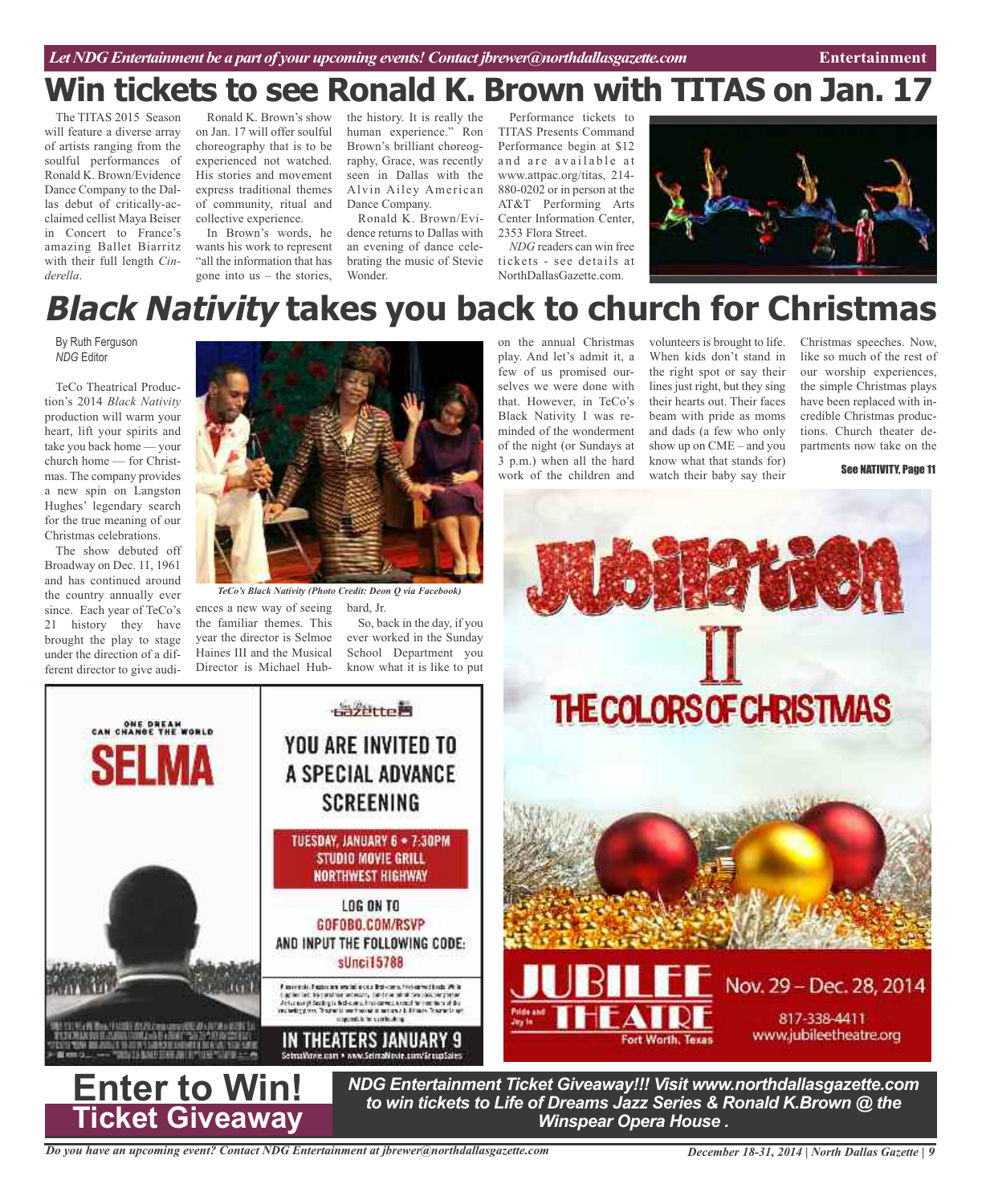## *Let NDG Entertainment be a part of your upcoming events!Contact jbrewer@northdallasgazette.com* **Entertainment**

# **Win tickets to see Ronald K. Brown with TITAS on Jan. 17**

The TITAS 2015 Season will feature a diverse array of artists ranging from the soulful performances of Ronald K. Brown/Evidence Dance Company to the Dallas debut of critically-acclaimed cellist Maya Beiser in Concert to France's amazing Ballet Biarritz with their full length *Cinderella*.

Ronald K. Brown's show on Jan. 17 will offer soulful choreography that is to be experienced not watched. His stories and movement express traditional themes of community, ritual and collective experience.

In Brown's words, he wants his work to represent "all the information that has gone into us – the stories,

the history. It is really the human experience." Ron Brown's brilliant choreography, Grace, was recently seen in Dallas with the Alvin Ailey American Dance Company.

Ronald K. Brown/Evidence returns to Dallas with an evening of dance celebrating the music of Stevie Wonder.

Performance tickets to TITAS Presents Command Performance begin at \$12 and are available at www.attpac.org/titas, 214- 880-0202 or in person at the AT&T Performing Arts Center Information Center, 2353 Flora Street.

*NDG* readers can win free tickets - see details at NorthDallasGazette.com.



# **Black Nativity takes you back to church for Christmas**

By Ruth Ferguson *NDG* Editor

TeCo Theatrical Production's 2014 *Black Nativity* production will warm your heart, lift your spirits and take you back home — your church home — for Christmas. The company provides a new spin on Langston Hughes' legendary search for the true meaning of our Christmas celebrations.

The show debuted off Broadway on Dec. 11, 1961 and has continued around the country annually ever since. Each year of TeCo's 21 history they have brought the play to stage under the direction of a different director to give audi-

ONE DREAM<br>CAN CHANGE THE WORLD

Selma



*TeCo's Black Nativity (Photo Credit: Deon Q via Facebook)*

ences a new way of seeing the familiar themes. This year the director is Selmoe Haines III and the Musical Director is Michael Hubon the annual Christmas play. And let's admit it, a few of us promised ourselves we were done with that. However, in TeCo's Black Nativity I was reminded of the wonderment of the night (or Sundays at 3 p.m.) when all the hard work of the children and

volunteers is brought to life. When kids don't stand in the right spot or say their lines just right, but they sing their hearts out. Their faces beam with pride as moms and dads (a few who only show up on CME – and you know what that stands for) watch their baby say their

Christmas speeches. Now, like so much of the rest of our worship experiences, the simple Christmas plays have been replaced with incredible Christmas productions. Church theater departments now take on the

See NATIVITY, Page 11



*to win tickets to Life of Dreams Jazz Series & Ronald K.Brown @ the Winspear Opera House .*



**Enter to Win!**

のこ アスカラストリ 

.<br>Patrick (Anti-Canada

**Ticket Giveaway**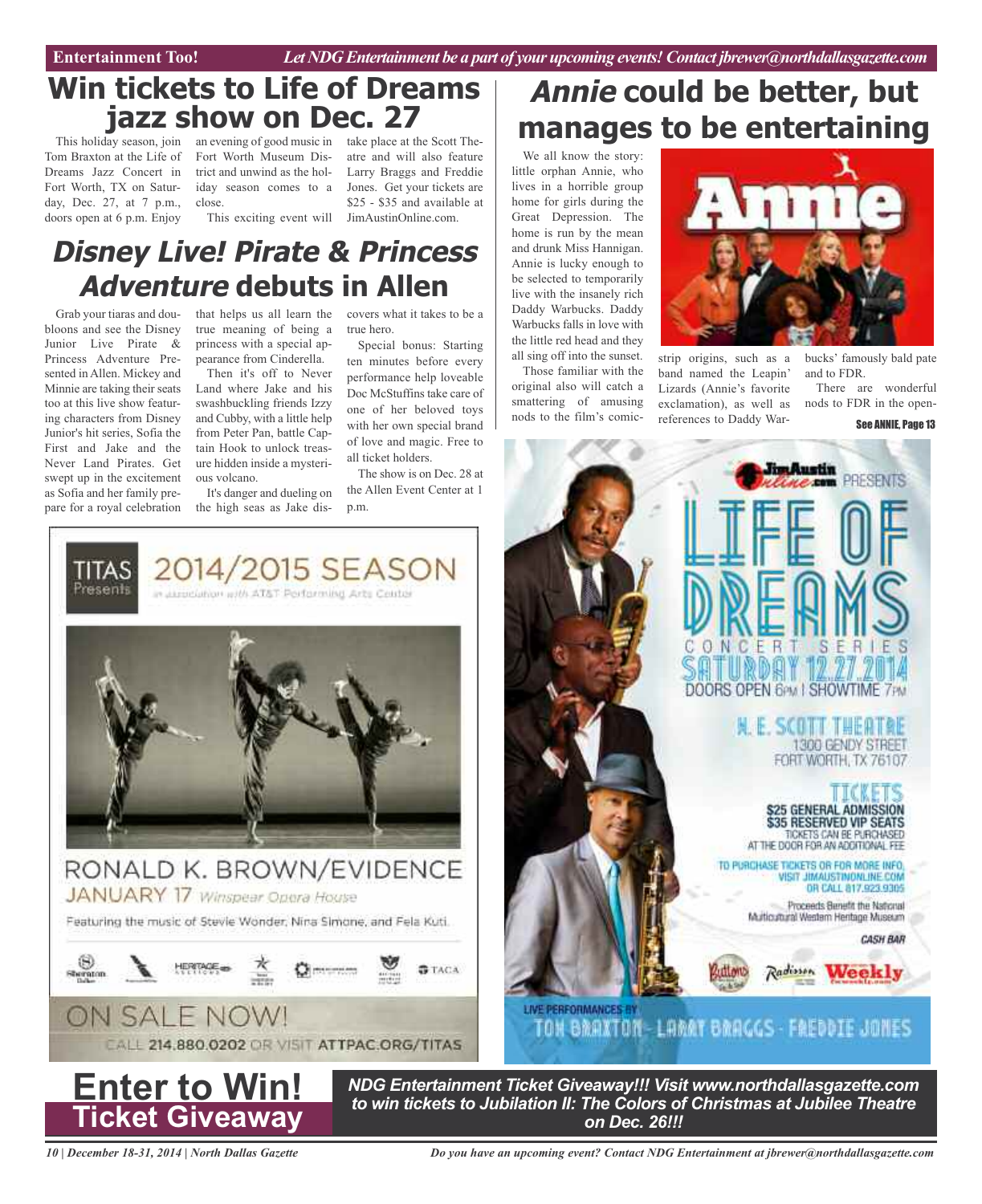Entertainment Too! *Let NDG Entertainment be a part of your upcoming events! Contact jbrewer@northdallasgazette.com* 

## **Win tickets to Life of Dreams jazz show on Dec. 27**

Tom Braxton at the Life of Dreams Jazz Concert in Fort Worth, TX on Saturday, Dec. 27, at 7 p.m., doors open at 6 p.m. Enjoy

close.

This exciting event will JimAustinOnline.com.

## This holiday season, join an evening of good music in take place at the Scott The-Fort Worth Museum Dis-atre and will also feature trict and unwind as the hol-Larry Braggs and Freddie iday season comes to a Jones. Get your tickets are \$25 - \$35 and available at

## **Disney Live! Pirate & Princess Adventure debuts in Allen**

Grab your tiaras and doubloons and see the Disney Junior Live Pirate & Princess Adventure Presented in Allen. Mickey and Minnie are taking their seats too at this live show featuring characters from Disney Junior's hit series, Sofia the First and Jake and the Never Land Pirates. Get swept up in the excitement as Sofia and her family prepare for a royal celebration

> TITAS Presents

that helps us all learn the covers what it takes to be a true meaning of being a princess with a special appearance from Cinderella.

Then it's off to Never Land where Jake and his swashbuckling friends Izzy and Cubby, with a little help from Peter Pan, battle Captain Hook to unlock treasure hidden inside a mysterious volcano.

It's danger and dueling on the high seas as Jake dis-

2014/2015 SEASON

in association with AT&T Performing Arts Cente

true hero.

Special bonus: Starting ten minutes before every performance help loveable Doc McStuffins take care of one of her beloved toys with her own special brand of love and magic. Free to all ticket holders.

The show is on Dec. 28 at the Allen Event Center at 1 p.m.

# **Annie could be better, but manages to be entertaining**

We all know the story: little orphan Annie, who lives in a horrible group home for girls during the Great Depression. The home is run by the mean and drunk Miss Hannigan. Annie is lucky enough to be selected to temporarily live with the insanely rich Daddy Warbucks. Daddy Warbucks falls in love with the little red head and they all sing off into the sunset.

Those familiar with the original also will catch a smattering of amusing nods to the film's comic-



strip origins, such as a band named the Leapin' Lizards (Annie's favorite exclamation), as well as references to Daddy Warbucks' famously bald pate and to FDR.

There are wonderful nods to FDR in the open-

### See ANNIE, Page 13









*NDG Entertainment Ticket Giveaway!!! Visit www.northdallasgazette.com to win tickets to Jubilation II: The Colors of Christmas at Jubilee Theatre on Dec. 26!!!*

*10 | December 18-31, 2014 | North Dallas Gazette*

*Do you have an upcoming event? Contact NDG Entertainment at jbrewer@northdallasgazette.com*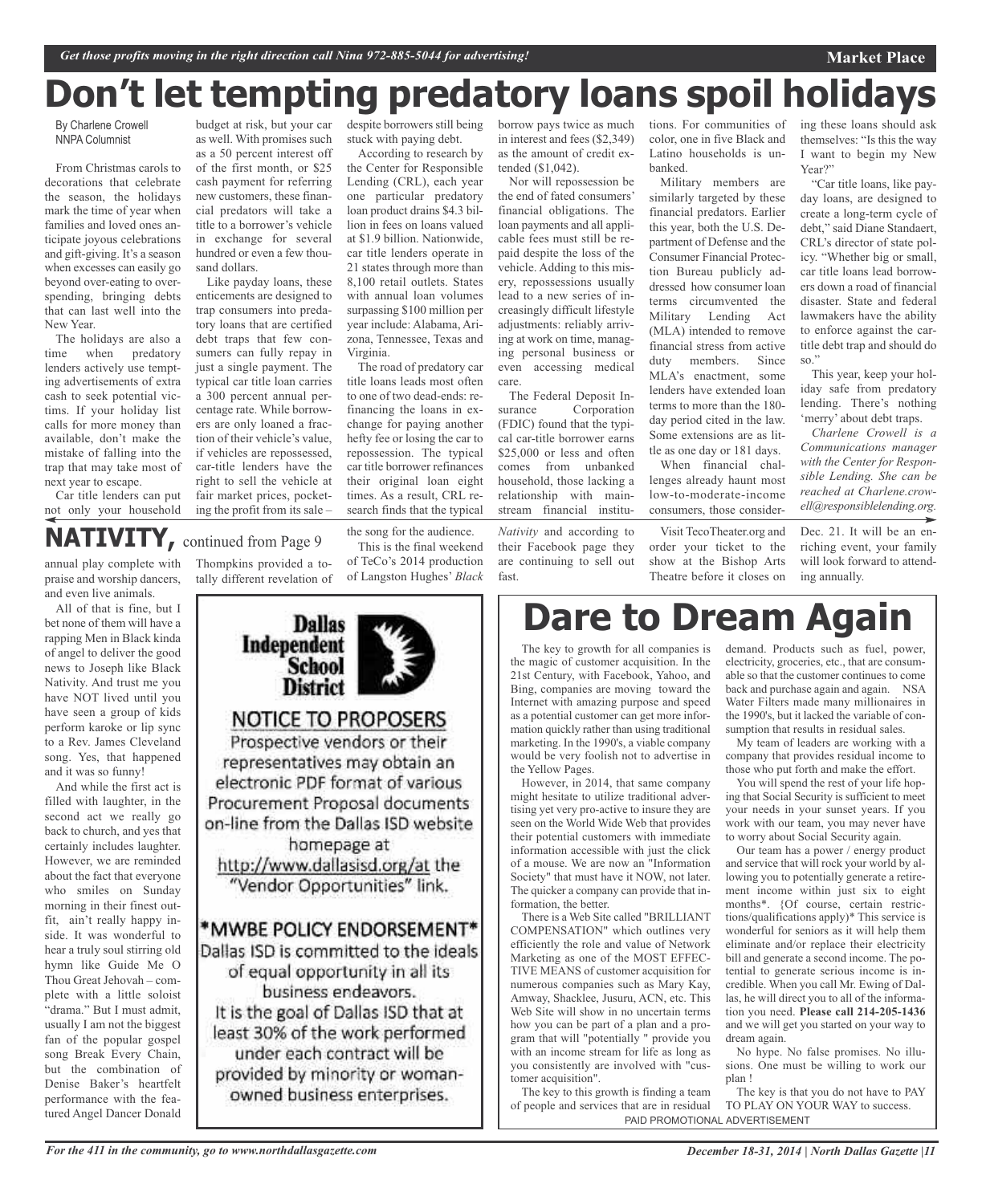# **Don't let tempting predatory loans spoil holidays**

By Charlene Crowell NNPA Columnist

From Christmas carols to decorations that celebrate the season, the holidays mark the time of year when families and loved ones anticipate joyous celebrations and gift-giving. It's a season when excesses can easily go beyond over-eating to overspending, bringing debts that can last well into the New Year.

The holidays are also a time when predatory lenders actively use tempting advertisements of extra cash to seek potential victims. If your holiday list calls for more money than available, don't make the mistake of falling into the trap that may take most of next year to escape.

Car title lenders can put not only your household

as a 50 percent interest off of the first month, or \$25 cash payment for referring new customers, these financial predators will take a title to a borrower's vehicle in exchange for several hundred or even a few thousand dollars.

budget at risk, but your car as well. With promises such

Like payday loans, these enticements are designed to trap consumers into predatory loans that are certified debt traps that few consumers can fully repay in just a single payment. The typical car title loan carries a 300 percent annual percentage rate. While borrowers are only loaned a fraction of their vehicle's value, if vehicles are repossessed, car-title lenders have the right to sell the vehicle at fair market prices, pocketing the profit from its sale –

despite borrowers still being stuck with paying debt.

According to research by the Center for Responsible Lending (CRL), each year one particular predatory loan product drains \$4.3 billion in fees on loans valued at \$1.9 billion. Nationwide, car title lenders operate in 21 states through more than 8,100 retail outlets. States with annual loan volumes surpassing \$100 million per year include: Alabama, Arizona, Tennessee, Texas and Virginia.

The road of predatory car title loans leads most often to one of two dead-ends: refinancing the loans in exchange for paying another hefty fee or losing the car to repossession. The typical car title borrower refinances their original loan eight times. As a result, CRL research finds that the typical borrow pays twice as much in interest and fees (\$2,349) as the amount of credit extended (\$1,042).

Nor will repossession be the end of fated consumers' financial obligations. The loan payments and all applicable fees must still be repaid despite the loss of the vehicle. Adding to this misery, repossessions usually lead to a new series of increasingly difficult lifestyle adjustments: reliably arriving at work on time, managing personal business or even accessing medical care.

The Federal Deposit Insurance Corporation (FDIC) found that the typical car-title borrower earns \$25,000 or less and often comes from unbanked household, those lacking a relationship with mainstream financial institu-

*Nativity* and according to their Facebook page they are continuing to sell out fast.

tions. For communities of color, one in five Black and Latino households is unbanked.

Military members are similarly targeted by these financial predators. Earlier this year, both the U.S. Department of Defense and the Consumer Financial Protection Bureau publicly addressed how consumer loan terms circumvented the Military Lending Act (MLA) intended to remove financial stress from active duty members. Since MLA's enactment, some lenders have extended loan terms to more than the 180 day period cited in the law. Some extensions are as little as one day or 181 days.

When financial challenges already haunt most low-to-moderate-income consumers, those consider-

Visit TecoTheater.org and order your ticket to the show at the Bishop Arts Theatre before it closes on ing these loans should ask themselves: "Is this the way I want to begin my New Year?"

**Market Place**

"Car title loans, like payday loans, are designed to create a long-term cycle of debt," said Diane Standaert, CRL's director of state policy. "Whether big or small, car title loans lead borrowers down a road of financial disaster. State and federal lawmakers have the ability to enforce against the cartitle debt trap and should do so."

This year, keep your holiday safe from predatory lending. There's nothing 'merry' about debt traps.

*Charlene Crowell is a Communications manager with the Center for Responsible Lending. She can be reached at Charlene.crowell@responsiblelending.org.*

Dec. 21. It will be an enriching event, your family will look forward to attending annually.

**NATIVITY,** continued from Page <sup>9</sup>

annual play complete with praise and worship dancers, and even live animals.

All of that is fine, but I bet none of them will have a rapping Men in Black kinda of angel to deliver the good news to Joseph like Black Nativity. And trust me you have NOT lived until you have seen a group of kids perform karoke or lip sync to a Rev. James Cleveland song. Yes, that happened and it was so funny!

And while the first act is filled with laughter, in the second act we really go back to church, and yes that certainly includes laughter. However, we are reminded about the fact that everyone who smiles on Sunday morning in their finest outfit, ain't really happy inside. It was wonderful to hear a truly soul stirring old hymn like Guide Me O Thou Great Jehovah – complete with a little soloist "drama." But I must admit, usually I am not the biggest fan of the popular gospel song Break Every Chain, but the combination of Denise Baker's heartfelt performance with the featured Angel Dancer Donald

Thompkins provided a totally different revelation of

the song for the audience. This is the final weekend of TeCo's 2014 production of Langston Hughes' *Black*



**Dare to Dream Again**

The key to growth for all companies is the magic of customer acquisition. In the 21st Century, with Facebook, Yahoo, and Bing, companies are moving toward the Internet with amazing purpose and speed as a potential customer can get more information quickly rather than using traditional marketing. In the 1990's, a viable company would be very foolish not to advertise in the Yellow Pages.

However, in 2014, that same company might hesitate to utilize traditional advertising yet very pro-active to insure they are seen on the World Wide Web that provides their potential customers with immediate information accessible with just the click of a mouse. We are now an "Information Society" that must have it NOW, not later. The quicker a company can provide that information, the better.

There is a Web Site called "BRILLIANT COMPENSATION" which outlines very efficiently the role and value of Network Marketing as one of the MOST EFFEC-TIVE MEANS of customer acquisition for numerous companies such as Mary Kay, Amway, Shacklee, Jusuru, ACN, etc. This Web Site will show in no uncertain terms how you can be part of a plan and a program that will "potentially " provide you with an income stream for life as long as you consistently are involved with "customer acquisition".

The key to this growth is finding a team of people and services that are in residual PAID PROMOTIONAL ADVERTISEMENT

demand. Products such as fuel, power, electricity, groceries, etc., that are consumable so that the customer continues to come back and purchase again and again. NSA Water Filters made many millionaires in the 1990's, but it lacked the variable of consumption that results in residual sales.

My team of leaders are working with a company that provides residual income to those who put forth and make the effort.

You will spend the rest of your life hoping that Social Security is sufficient to meet your needs in your sunset years. If you work with our team, you may never have to worry about Social Security again.

Our team has a power / energy product and service that will rock your world by allowing you to potentially generate a retirement income within just six to eight months\*. {Of course, certain restrictions/qualifications apply)\* This service is wonderful for seniors as it will help them eliminate and/or replace their electricity bill and generate a second income. The potential to generate serious income is incredible. When you call Mr. Ewing of Dallas, he will direct you to all of the information you need. **Please call 214-205-1436** and we will get you started on your way to dream again.

No hype. No false promises. No illusions. One must be willing to work our plan !

The key is that you do not have to PAY TO PLAY ON YOUR WAY to success.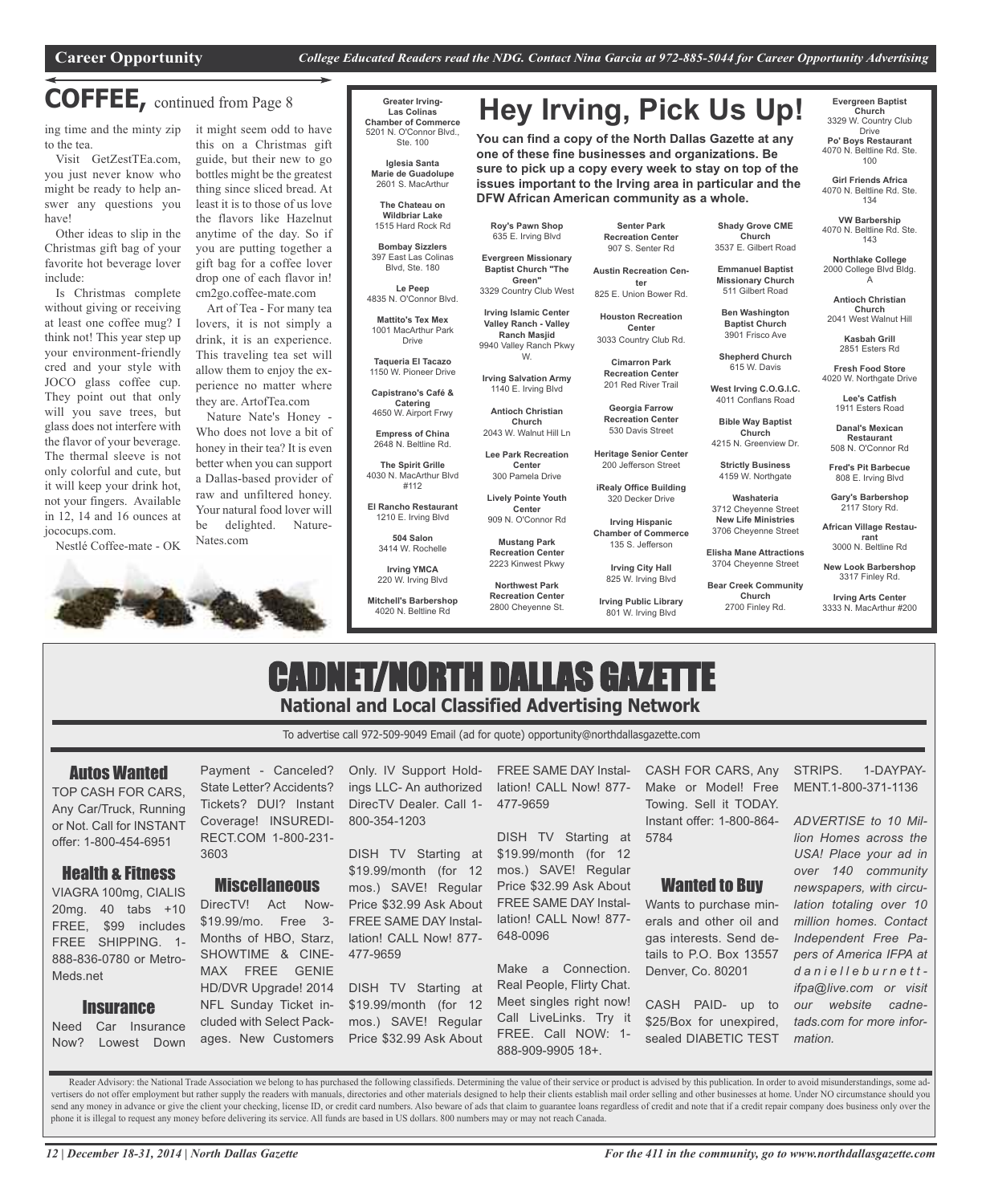**DFW African American community as a whole.**

## **COFFEE,** continued from Page <sup>8</sup>

ing time and the minty zip to the tea.

Visit GetZestTEa.com, you just never know who might be ready to help answer any questions you have!

Other ideas to slip in the Christmas gift bag of your favorite hot beverage lover include:

Is Christmas complete without giving or receiving at least one coffee mug? I think not! This year step up your environment-friendly cred and your style with JOCO glass coffee cup. They point out that only will you save trees, but glass does not interfere with the flavor of your beverage. The thermal sleeve is not only colorful and cute, but it will keep your drink hot, not your fingers. Available in 12, 14 and 16 ounces at jococups.com.

Nestlé Coffee-mate - OK



Art of Tea - For many tea lovers, it is not simply a drink, it is an experience. This traveling tea set will allow them to enjoy the experience no matter where they are. ArtofTea.com

Nature Nate's Honey - Who does not love a bit of honey in their tea? It is even better when you can support a Dallas-based provider of raw and unfiltered honey. Your natural food lover will be delighted. Nature-Nates.com

### **Greater Irving-Las Colinas Chamber of Commerce** 5201 N. O'Connor Blvd., Ste. 100

**Iglesia Santa Marie de Guadolupe** 2601 S. MacArthur

**The Chateau on Wildbriar Lake** 1515 Hard Rock Rd

**Bombay Sizzlers** 397 East Las Colinas

Blvd, Ste. 180 **Le Peep** 4835 N. O'Connor Blvd.

**Mattito's Tex Mex** 1001 MacArthur Park Drive

**Taqueria El Tacazo** 1150 W. Pioneer Drive **Capistrano's Café &**

**Catering** 4650 W. Airport Frwy

**Empress of China** 2648 N. Beltline Rd.

**The Spirit Grille** 4030 N. MacArthur Blvd #112

**El Rancho Restaurant**

**504 Salon** 3414 W. Rochelle

1210 E. Irving Blvd

**Irving YMCA** 220 W. Irving Blvd

**Mitchell's Barbershop** 4020 N. Beltline Rd

**Senter Park Recreation Center** 907 S. Senter Rd

**Hey Irving, Pick Us Up!**

**You can find a copy of the North Dallas Gazette at any one of these fine businesses and organizations. Be sure to pick up a copy every week to stay on top of the issues important to the Irving area in particular and the**

**Roy's Pawn Shop** 635 E. Irving Blvd **Evergreen Missionary Baptist Church "The Green"**

**Irving Islamic Center Valley Ranch - Valley Ranch Masjid** 9940 Valley Ranch Pkwy W. **Irving Salvation Army** 1140 E. Irving Blvd **Antioch Christian Church** 2043 W. Walnut Hill Ln **Lee Park Recreation Center**

**Center**

**Mustang Park**

3329 Country Club West **Austin Recreation Center** 825 E. Union Bower Rd.

> **Houston Recreation Center** 3033 Country Club Rd.

> > **Cimarron Park Recreation Center** 201 Red River Trail

**Georgia Farrow Recreation Center** 530 Davis Street

**Heritage Senior Center** 200 Jefferson Street

**iRealy Office Building** 320 Decker Drive

**Chamber of Commerce** 135 S. Jefferson

> **Irving City Hall** 825 W. Irving Blvd

**Irving Public Library** 801 W. Irving Blvd

**Shady Grove CME Church** 3537 E. Gilbert Road

**Emmanuel Baptist Missionary Church**

511 Gilbert Road **Ben Washington Baptist Church** 3901 Frisco Ave

**Shepherd Church** 615 W. Davis

**West Irving C.O.G.I.C.**

**Church** 4215 N. Greenview Dr. **Strictly Business** 4159 W. Northgate **Washateria** 3712 Cheyenne Street **New Life Ministries** 3706 Cheyenne Street **Elisha Mane Attractions** 3704 Cheyenne Street **Bear Creek Community Church** 2700 Finley Rd.

4011 Conflans Road **Bible Way Baptist Lee's Catfish** 1911 Esters Road

**Danal's Mexican Restaurant** 508 N. O'Connor Rd

**Evergreen Baptist Church** 3329 W. Country Club Drive **Po' Boys Restaurant** 4070 N. Beltline Rd. Ste. 100 **Girl Friends Africa** 4070 N. Beltline Rd. Ste. 134 **VW Barbership** 4070 N. Beltline Rd. Ste. 143 **Northlake College** 2000 College Blvd Bldg. A **Antioch Christian Church** 2041 West Walnut Hill **Kasbah Grill** 2851 Esters Rd **Fresh Food Store** 4020 W. Northgate Drive

**Fred's Pit Barbecue** 808 E. Irving Blvd

**Gary's Barbershop** 2117 Story Rd.

**African Village Restaurant** 3000 N. Beltline Rd

**New Look Barbershop** 3317 Finley Rd.

**Irving Arts Center** 3333 N. MacArthur #200

## CADNET/NORTH DALLAS GAZETTE **National and Local Classified Advertising Network**

To advertise call 972-509-9049 Email (ad for quote) opportunity@northdallasgazette.com

## Autos Wanted

TOP CASH FOR CARS, Any Car/Truck, Running or Not. Call for INSTANT offer: 1-800-454-6951

## Health & Fitness

VIAGRA 100mg, CIALIS 20mg. 40 tabs +10 FREE, \$99 includes FREE SHIPPING. 1- 888-836-0780 or Metro-Meds.net

## **Insurance**

Need Car Insurance Now? Lowest Down Payment - Canceled? State Letter? Accidents? Tickets? DUI? Instant Coverage! INSUREDI-RECT.COM 1-800-231- 3603

## **Miscellaneous**

DirecTV! Act Now- \$19.99/mo. Free 3- Months of HBO, Starz, SHOWTIME & CINE-MAX FREE GENIE HD/DVR Upgrade! 2014 NFL Sunday Ticket included with Select Packages. New Customers

Only. IV Support Holdings LLC- An authorized DirecTV Dealer. Call 1- 800-354-1203

DISH TV Starting at \$19.99/month (for 12 mos.) SAVE! Regular Price \$32.99 Ask About FREE SAME DAY Installation! CALL Now! 877- 477-9659

DISH TV Starting at \$19.99/month (for 12 mos.) SAVE! Regular Price \$32.99 Ask About

FREE SAME DAY Installation! CALL Now! 877- 477-9659

DISH TV Starting at \$19.99/month (for 12 mos.) SAVE! Regular Price \$32.99 Ask About FREE SAME DAY Installation! CALL Now! 877- 648-0096

Make a Connection. Real People, Flirty Chat. Meet singles right now! Call LiveLinks. Try it FREE. Call NOW: 1- 888-909-9905 18+.

CASH FOR CARS, Any Make or Model! Free Towing. Sell it TODAY. Instant offer: 1-800-864- 5784

## Wanted to Buy

Wants to purchase minerals and other oil and gas interests. Send details to P.O. Box 13557 Denver, Co. 80201

CASH PAID- up to \$25/Box for unexpired, sealed DIABETIC TEST STRIPS. 1-DAYPAY-MENT.1-800-371-1136

*ADVERTISE to 10 Million Homes across the USA! Place your ad in over 140 community newspapers, with circulation totaling over 10 million homes. Contact Independent Free Papers of America IFPA at d a n i e l l e b u r n e t t ifpa@live.com or visit our website cadnetads.com for more information.*

Reader Advisory: the National Trade Association we belong to has purchased the following classifieds. Determining the value of their service or product is advised by this publication. In order to avoid misunderstandings, s vertisers do not offer employment but rather supply the readers with manuals, directories and other materials designed to help their clients establish mail order selling and other businesses at home. Under NO circumstance send any money in advance or give the client your checking, license ID, or credit card numbers. Also beware of ads that claim to guarantee loans regardless of credit and note that if a credit repair company does business o phone it is illegal to request any money before delivering its service. All funds are based in US dollars. 800 numbers may or may not reach Canada.

**Recreation Center** 2223 Kinwest Pkwy **Northwest Park Recreation Center** 2800 Cheyenne St.

300 Pamela Drive **Lively Pointe Youth** 909 N. O'Connor Rd

**Irving Hispanic**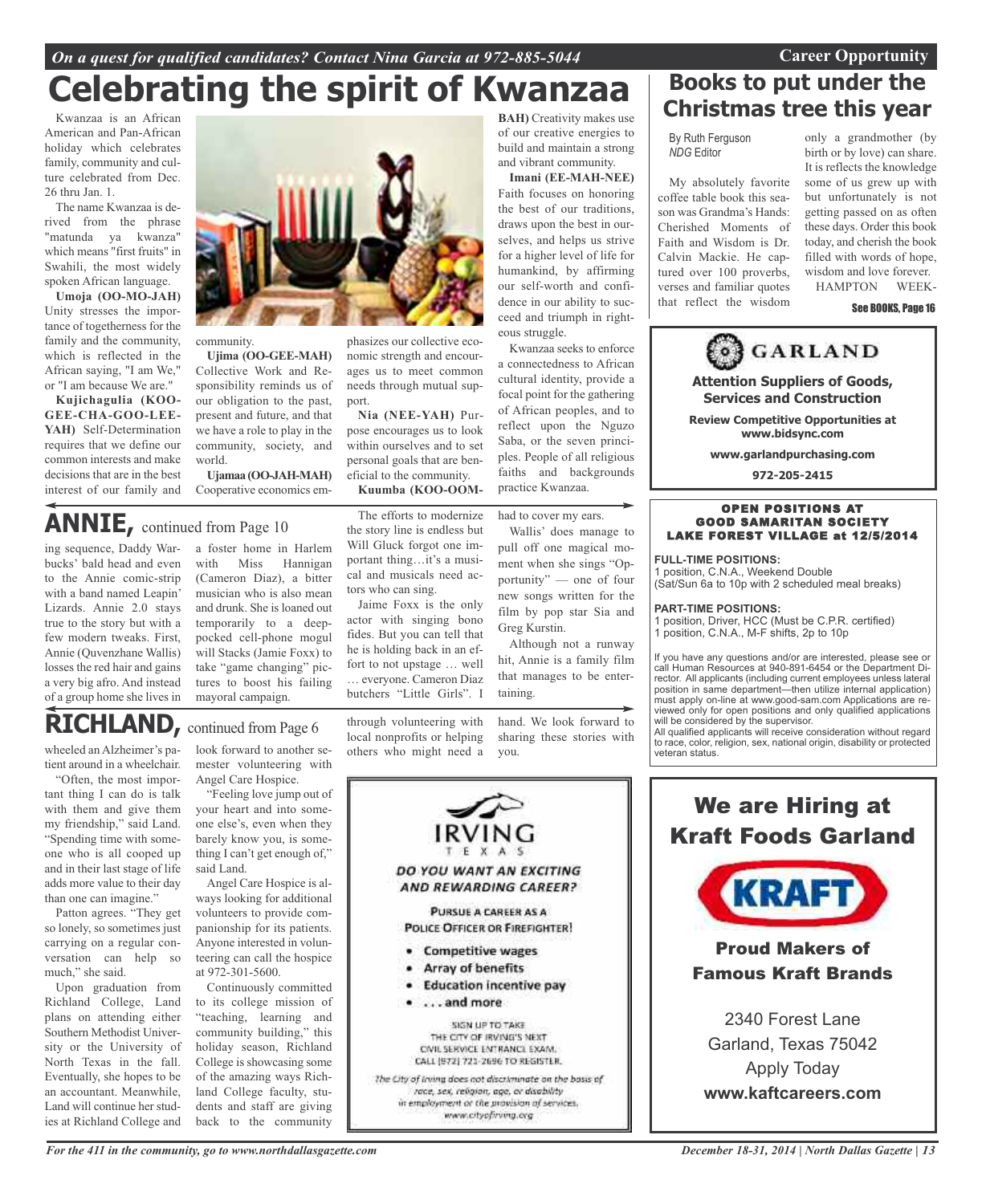## *On a quest for qualified candidates? Contact Nina Garcia at 972-885-5044* **Career Opportunity**

## **BAH)** Creativity makes use **Celebrating the spirit of Kwanzaa**

Kwanzaa is an African American and Pan-African holiday which celebrates family, community and culture celebrated from Dec. 26 thru Jan. 1.

The name Kwanzaa is derived from the phrase "matunda ya kwanza" which means "first fruits" in Swahili, the most widely spoken African language.

**Umoja (OO-MO-JAH)** Unity stresses the importance of togetherness for the family and the community, which is reflected in the African saying, "I am We," or "I am because We are."

**Kujichagulia (KOO-GEE-CHA-GOO-LEE-YAH)** Self-Determination requires that we define our common interests and make decisions that are in the best interest of our family and community. **Ujima (OO-GEE-MAH)** Collective Work and Responsibility reminds us of our obligation to the past, present and future, and that phasizes our collective economic strength and encourages us to meet common needs through mutual support.

world. **Ujamaa(OO-JAH-MAH)** Cooperative economics em-

we have a role to play in the community, society, and

**ANNIE,** continued from Page <sup>10</sup>

ing sequence, Daddy Warbucks' bald head and even to the Annie comic-strip with a band named Leapin' Lizards. Annie 2.0 stays true to the story but with a few modern tweaks. First, Annie (Quvenzhane Wallis) losses the red hair and gains a very big afro. And instead of a group home she lives in a foster home in Harlem with Miss Hannigan (Cameron Diaz), a bitter musician who is also mean and drunk. She is loaned out temporarily to a deeppocked cell-phone mogul will Stacks (Jamie Foxx) to take "game changing" pictures to boost his failing mayoral campaign.

**Nia (NEE-YAH)** Purpose encourages us to look within ourselves and to set personal goals that are beneficial to the community. **Kuumba (KOO-OOM-**

The efforts to modernize the story line is endless but Will Gluck forgot one important thing…it's a musical and musicals need actors who can sing.

Jaime Foxx is the only actor with singing bono fides. But you can tell that he is holding back in an effort to not upstage … well

through volunteering with local nonprofits or helping others who might need a



Wallis' does manage to pull off one magical moment when she sings "Opportunity" — one of four new songs written for the film by pop star Sia and Greg Kurstin.

of our creative energies to build and maintain a strong and vibrant community. **Imani (EE-MAH-NEE)** Faith focuses on honoring the best of our traditions, draws upon the best in ourselves, and helps us strive for a higher level of life for humankind, by affirming our self-worth and confidence in our ability to succeed and triumph in right-

Although not a runway hit, Annie is a family film that manages to be enter-

hand. We look forward to sharing these stories with you.



## **Books to put under the Christmas tree this year**

By Ruth Ferguson *NDG* Editor

My absolutely favorite coffee table book this season was Grandma's Hands: Cherished Moments of Faith and Wisdom is Dr. Calvin Mackie. He captured over 100 proverbs, verses and familiar quotes that reflect the wisdom

only a grandmother (by birth or by love) can share. It is reflects the knowledge some of us grew up with but unfortunately is not getting passed on as often these days. Order this book today, and cherish the book filled with words of hope, wisdom and love forever. HAMPTON WEEK-

### See BOOKS, Page 16



**PART-TIME POSITIONS:**

1 position, Driver, HCC (Must be C.P.R. certified) 1 position, C.N.A., M-F shifts, 2p to 10p

If you have any questions and/or are interested, please see or call Human Resources at 940-891-6454 or the Department Director. All applicants (including current employees unless lateral position in same department—then utilize internal application) must apply on-line at www.good-sam.com Applications are reviewed only for open positions and only qualified applications will be considered by the supervisor.

All qualified applicants will receive consideration without regard to race, color, religion, sex, national origin, disability or protected veteran status.

We are Hiring at Kraft Foods Garland **KRAFT** Proud Makers of Famous Kraft Brands 2340 Forest Lane

Garland, Texas 75042 Apply Today **www.kaftcareers.com**

# **RICHLAND,** continued from Page <sup>6</sup>

wheeled an Alzheimer's patient around in a wheelchair.

"Often, the most important thing I can do is talk with them and give them my friendship," said Land. "Spending time with someone who is all cooped up and in their last stage of life adds more value to their day than one can imagine."

Patton agrees. "They get so lonely, so sometimes just carrying on a regular conversation can help so much," she said.

Upon graduation from Richland College, Land plans on attending either Southern Methodist University or the University of North Texas in the fall. Eventually, she hopes to be an accountant. Meanwhile, Land will continue her studies at Richland College and

look forward to another semester volunteering with Angel Care Hospice.

"Feeling love jump out of your heart and into someone else's, even when they barely know you, is something I can't get enough of," said Land.

Angel Care Hospice is always looking for additional volunteers to provide companionship for its patients. Anyone interested in volunteering can call the hospice at 972-301-5600.

Continuously committed to its college mission of "teaching, learning and community building," this holiday season, Richland College is showcasing some of the amazing ways Richland College faculty, students and staff are giving back to the community

… everyone. Cameron Diaz butchers "Little Girls". I

had to cover my ears.

eous struggle.

Kwanzaa seeks to enforce a connectedness to African cultural identity, provide a focal point for the gathering of African peoples, and to reflect upon the Nguzo Saba, or the seven principles. People of all religious

taining.

*For the 411 in the community, go to www.northdallasgazette.com*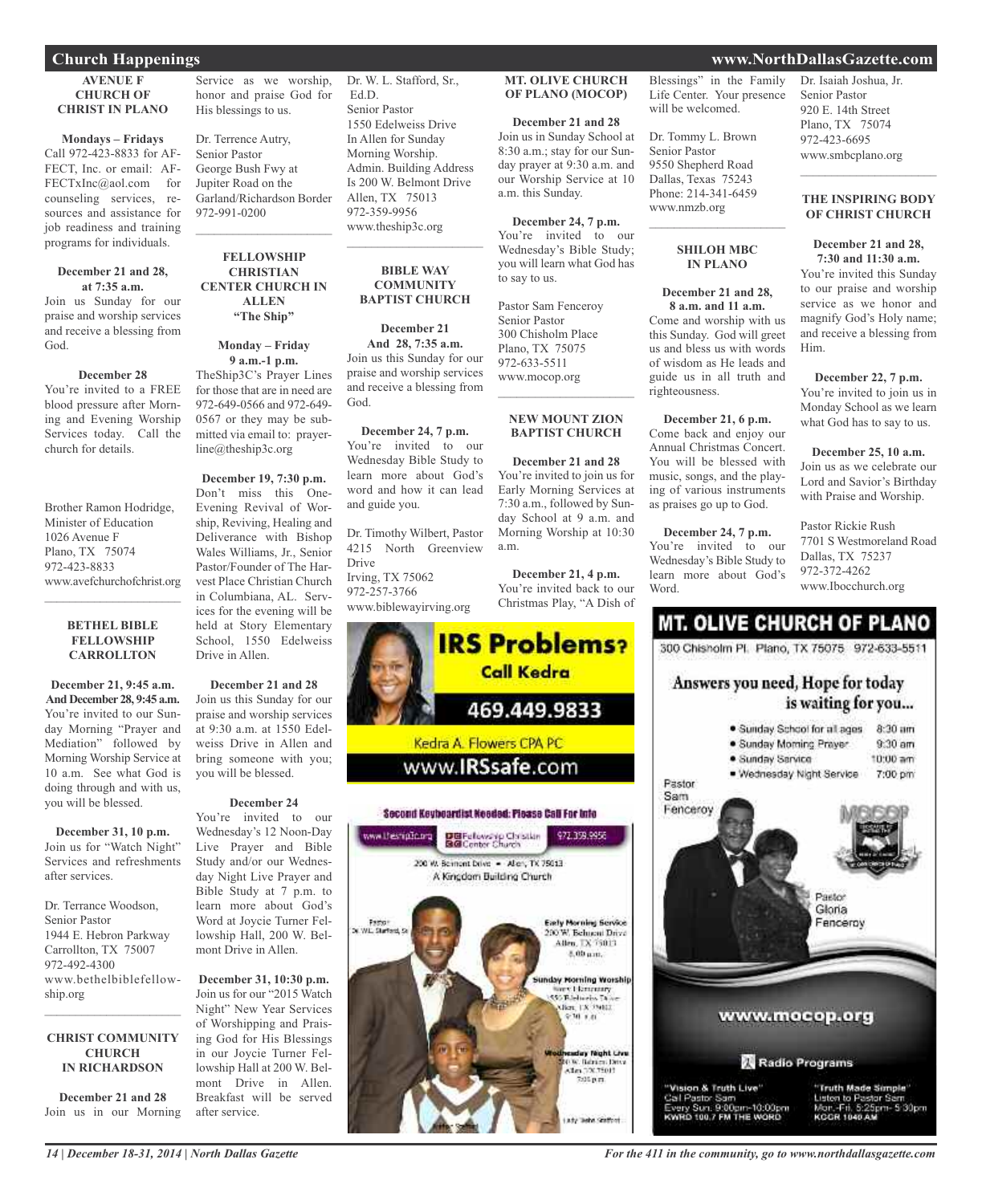### **AVENUE F CHURCH OF CHRIST IN PLANO**

**Mondays – Fridays** Call 972-423-8833 for AF-FECT, Inc. or email: AF-FECTxInc@aol.com for counseling services, resources and assistance for job readiness and training programs for individuals.

### **December 21 and 28, at 7:35 a.m.**

Join us Sunday for our praise and worship services and receive a blessing from God.

## **December 28**

You're invited to a FREE blood pressure after Morning and Evening Worship Services today. Call the church for details.

Brother Ramon Hodridge, Minister of Education 1026 Avenue F Plano, TX 75074 972-423-8833 www.avefchurchofchrist.org

### **BETHEL BIBLE FELLOWSHIP CARROLLTON**

 $\mathcal{L}$  , and the set of the set of the set of the set of the set of the set of the set of the set of the set of the set of the set of the set of the set of the set of the set of the set of the set of the set of the set

**December 21, 9:45 a.m. And December 28, 9:45 a.m.** You're invited to our Sunday Morning "Prayer and Mediation" followed by Morning Worship Service at 10 a.m. See what God is doing through and with us, you will be blessed.

**December 31, 10 p.m.** Join us for "Watch Night" Services and refreshments after services.

Dr. Terrance Woodson, Senior Pastor 1944 E. Hebron Parkway Carrollton, TX 75007 972-492-4300 www.bethelbiblefellowship.org

## **CHRIST COMMUNITY CHURCH IN RICHARDSON**

 $\mathcal{L}_\text{max}$  , which is a set of the set of the set of the set of the set of the set of the set of the set of the set of the set of the set of the set of the set of the set of the set of the set of the set of the set of

**December 21 and 28** Join us in our Morning

Service as we worship, honor and praise God for His blessings to us.

Dr. Terrence Autry, Senior Pastor George Bush Fwy at Jupiter Road on the Garland/Richardson Border 972-991-0200  $\mathcal{L}_\text{max}$  and  $\mathcal{L}_\text{max}$  and  $\mathcal{L}_\text{max}$ 

### **FELLOWSHIP CHRISTIAN CENTER CHURCH IN ALLEN "The Ship"**

**Monday – Friday**

**9 a.m.-1 p.m.** TheShip3C's Prayer Lines for those that are in need are 972-649-0566 and 972-649- 0567 or they may be submitted via email to: prayerline@theship3c.org

**December 19, 7:30 p.m.** Don't miss this One-Evening Revival of Worship, Reviving, Healing and Deliverance with Bishop Wales Williams, Jr., Senior Pastor/Founder of The Harvest Place Christian Church in Columbiana, AL. Services for the evening will be held at Story Elementary School, 1550 Edelweiss Drive in Allen.

**December 21 and 28** Join us this Sunday for our praise and worship services at 9:30 a.m. at 1550 Edelweiss Drive in Allen and bring someone with you; you will be blessed.

## **December 24** You're invited to our Wednesday's 12 Noon-Day Live Prayer and Bible Study and/or our Wednesday Night Live Prayer and Bible Study at 7 p.m. to

learn more about God's Word at Joycie Turner Fellowship Hall, 200 W. Belmont Drive in Allen.

**December 31, 10:30 p.m.** Join us for our "2015 Watch Night" New Year Services of Worshipping and Praising God for His Blessings in our Joycie Turner Fellowship Hall at 200 W. Belmont Drive in Allen. Breakfast will be served after service.

Dr. W. L. Stafford, Sr., Ed.D. Senior Pastor 1550 Edelweiss Drive In Allen for Sunday Morning Worship. Admin. Building Address Is 200 W. Belmont Drive Allen, TX 75013

972-359-9956 www.theship3c.org

> **BIBLE WAY COMMUNITY BAPTIST CHURCH**

 $\overline{\phantom{a}}$  , and the set of the set of the set of the set of the set of the set of the set of the set of the set of the set of the set of the set of the set of the set of the set of the set of the set of the set of the s

## **December 21**

**And 28, 7:35 a.m.** Join us this Sunday for our praise and worship services and receive a blessing from God.

**December 24, 7 p.m.** You're invited to our Wednesday Bible Study to learn more about God's word and how it can lead and guide you.

Dr. Timothy Wilbert, Pastor 4215 North Greenview Drive Irving, TX 75062 972-257-3766 www.biblewayirving.org

www.thesnipOp.org

**Demoti** W. W. Stafford C



### **December 21 and 28** Join us in Sunday School at 8:30 a.m.; stay for our Sunday prayer at 9:30 a.m. and our Worship Service at 10 a.m. this Sunday.

**December 24, 7 p.m.** You're invited to our Wednesday's Bible Study; you will learn what God has to say to us.

Pastor Sam Fenceroy Senior Pastor 300 Chisholm Place Plano, TX 75075 972-633-5511 www.mocop.org  $\mathcal{L}=\mathcal{L}^{\mathcal{L}}$  , where  $\mathcal{L}^{\mathcal{L}}$  , we have the set of the set of the set of the set of the set of the set of the set of the set of the set of the set of the set of the set of the set of the set of the set of

## **NEW MOUNT ZION BAPTIST CHURCH**

**December 21 and 28** You're invited to join us for Early Morning Services at 7:30 a.m., followed by Sunday School at 9 a.m. and Morning Worship at 10:30 a.m.

**December 21, 4 p.m.** You're invited back to our Christmas Play, "A Dish of

972.358.9955

**Early Morning Service** 

200 W. Behneni Drive Allen, TX 75013 5.00 p.m.

lay Morning Worshi North Liamanny<br>550 Edelmeios Dio ulian, ISBN 974822<br><mark>|</mark> SPM| 9.81

> day Night Live NOR: Barrieri Dirva<br>Alan (1963)<br>2015 p.m.

**IRS Problems?** 

469.449.9833

**Call Kedra** 

Kedra A. Flowers CPA PC

www.**IRSsafe.com** 

Second Keybeardist Needed: Please Call For Info

DBFelowskip Christian<br>BGConter Church

200 W. Bernont Dove - Allen, TX 75013 A Kingdom Building Church

Blessings" in the Family Life Center. Your presence will be welcomed.

Dr. Tommy L. Brown Senior Pastor 9550 Shepherd Road Dallas, Texas 75243 Phone: 214-341-6459 www.nmzb.org

## **SHILOH MBC IN PLANO**

 $\mathcal{L}_\text{max}$  , which is a set of the set of the set of the set of the set of the set of the set of the set of the set of the set of the set of the set of the set of the set of the set of the set of the set of the set of

### **December 21 and 28, 8 a.m. and 11 a.m.**

Come and worship with us this Sunday. God will greet us and bless us with words of wisdom as He leads and guide us in all truth and righteousness.

**December 21, 6 p.m.** Come back and enjoy our Annual Christmas Concert. You will be blessed with music, songs, and the playing of various instruments as praises go up to God.

**December 24, 7 p.m.** You're invited to our Wednesday's Bible Study to learn more about God's Word.

## Dr. Isaiah Joshua, Jr. Senior Pastor 920 E. 14th Street Plano, TX 75074

972-423-6695 www.smbcplano.org

### **THE INSPIRING BODY OF CHRIST CHURCH**

 $\overline{\phantom{a}}$  , and the set of the set of the set of the set of the set of the set of the set of the set of the set of the set of the set of the set of the set of the set of the set of the set of the set of the set of the s

### **December 21 and 28, 7:30 and 11:30 a.m.**

You're invited this Sunday to our praise and worship service as we honor and magnify God's Holy name; and receive a blessing from Him.

## **December 22, 7 p.m.**

You're invited to join us in Monday School as we learn what God has to say to us.

**December 25, 10 a.m.** Join us as we celebrate our Lord and Savior's Birthday with Praise and Worship.

Pastor Rickie Rush 7701 S Westmoreland Road Dallas, TX 75237 972-372-4262 www.Ibocchurch.org

## **MT. OLIVE CHURCH OF PLANO**

300 Chisholm Pl. Plano, TX 75075 972-633-5511

## Answers you need, Hope for today is waiting for you...



*14 | December 18-31, 2014 | North Dallas Gazette*

*For the 411 in the community, go to www.northdallasgazette.com*

## **Church Happenings www.NorthDallasGazette.com**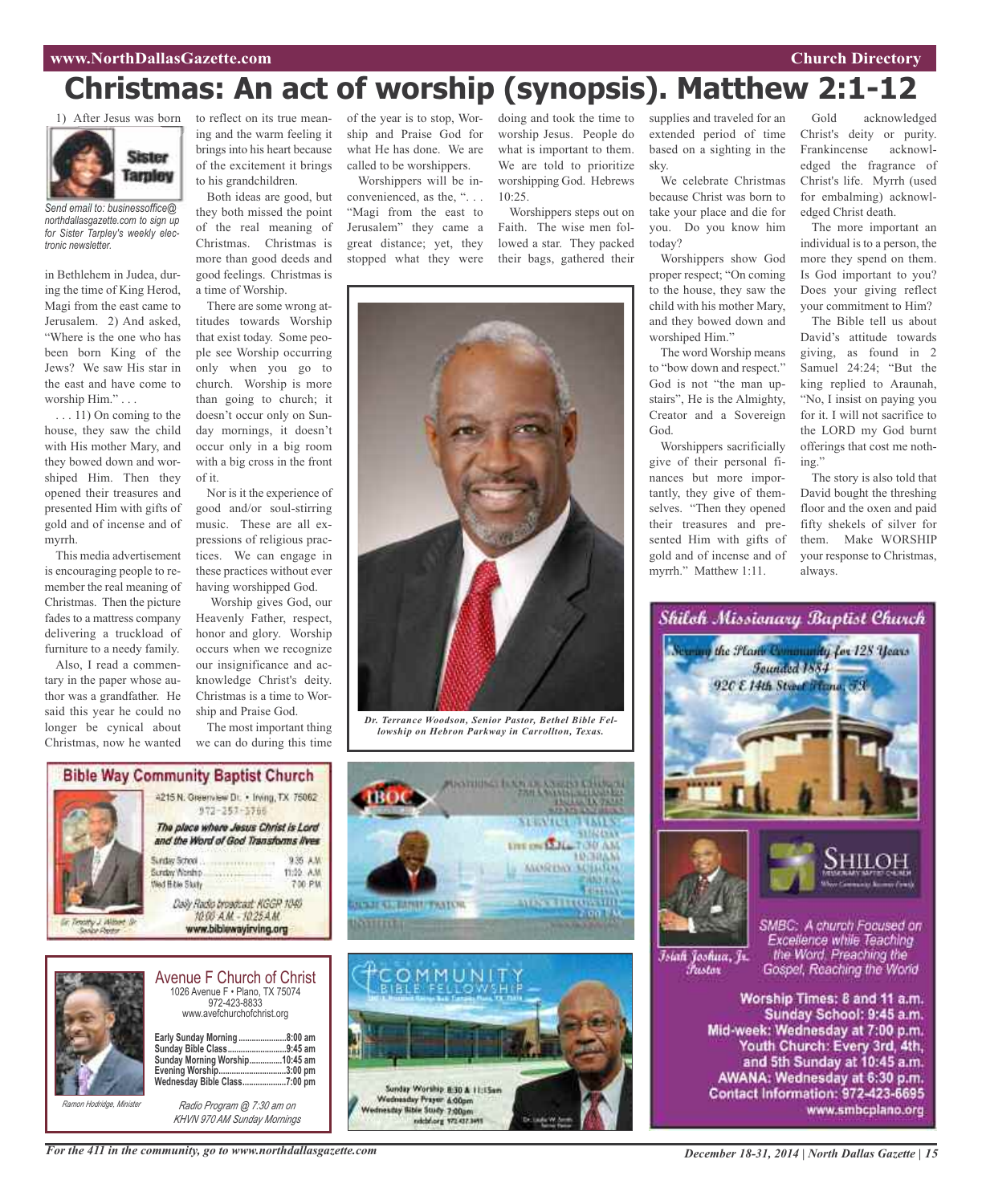## **www.NorthDallasGazette.com Church Directory**

# **Christmas: An act of worship (synopsis). Matthew 2:1-12**



*Send email to: businessoffice@ northdallasgazette.com to sign up for Sister Tarpley's weekly electronic newsletter.*

in Bethlehem in Judea, during the time of King Herod, Magi from the east came to Jerusalem. 2) And asked, "Where is the one who has been born King of the Jews? We saw His star in the east and have come to worship Him." . . .

. . . 11) On coming to the house, they saw the child with His mother Mary, and they bowed down and worshiped Him. Then they opened their treasures and presented Him with gifts of gold and of incense and of myrrh.

This media advertisement is encouraging people to remember the real meaning of Christmas. Then the picture fades to a mattress company delivering a truckload of furniture to a needy family.

Also, I read a commentary in the paper whose author was a grandfather. He said this year he could no longer be cynical about Christmas, now he wanted

to reflect on its true meaning and the warm feeling it brings into his heart because of the excitement it brings to his grandchildren.

Both ideas are good, but they both missed the point of the real meaning of Christmas. Christmas is more than good deeds and good feelings. Christmas is a time of Worship.

There are some wrong attitudes towards Worship that exist today. Some people see Worship occurring only when you go to church. Worship is more than going to church; it doesn't occur only on Sunday mornings, it doesn't occur only in a big room with a big cross in the front of it.

Nor is it the experience of good and/or soul-stirring music. These are all expressions of religious practices. We can engage in these practices without ever having worshipped God.

Worship gives God, our Heavenly Father, respect, honor and glory. Worship occurs when we recognize our insignificance and acknowledge Christ's deity. Christmas is a time to Worship and Praise God.

The most important thing we can do during this time

of the year is to stop, Worship and Praise God for what He has done. We are called to be worshippers.

Worshippers will be inconvenienced, as the, ". . . "Magi from the east to Jerusalem" they came a great distance; yet, they stopped what they were

doing and took the time to worship Jesus. People do what is important to them. We are told to prioritize worshipping God. Hebrews 10:25.

Worshippers steps out on Faith. The wise men followed a star. They packed their bags, gathered their



*Dr. Terrance Woodson, Senior Pastor, Bethel Bible Fellowship on Hebron Parkway in Carrollton, Texas.*

**STEPACE** 

**UTE ON SALE TO UAM** 

*<i><u><b>ALORDIA MILLION*</u>

**AUSSTRAND** 

531624545

**LOGINAN** 





| www.avefchurchofchrist.org                                                                                                                            |  |
|-------------------------------------------------------------------------------------------------------------------------------------------------------|--|
| Early Sunday Morning 8:00 am<br>Sunday Bible Class9:45 am<br>Sunday Morning Worship10:45 am<br>Evening Worship3:00 pm<br>Wednesday Bible Class7:00 pm |  |

*Ramon Hodridge, Minister*



1026 Avenue F • Plano, TX 75074 972-423-8833

Sunday Worship 8:30 & 11:15am Wednesday Prayer & Oppm Inestity Bible Study 7,00gm

supplies and traveled for an extended period of time based on a sighting in the sky.

We celebrate Christmas because Christ was born to take your place and die for you. Do you know him today?

Worshippers show God proper respect; "On coming to the house, they saw the child with his mother Mary, and they bowed down and worshiped Him."

The word Worship means to "bow down and respect." God is not "the man upstairs", He is the Almighty, Creator and a Sovereign God.

Worshippers sacrificially give of their personal finances but more importantly, they give of themselves. "Then they opened their treasures and presented Him with gifts of gold and of incense and of myrrh." Matthew 1:11.

Gold acknowledged Christ's deity or purity. Frankincense acknowledged the fragrance of Christ's life. Myrrh (used for embalming) acknowledged Christ death.

The more important an individual is to a person, the more they spend on them. Is God important to you? Does your giving reflect your commitment to Him?

The Bible tell us about David's attitude towards giving, as found in 2 Samuel 24:24; "But the king replied to Araunah, "No, I insist on paying you for it. I will not sacrifice to the LORD my God burnt offerings that cost me nothing."

The story is also told that David bought the threshing floor and the oxen and paid fifty shekels of silver for them. Make WORSHIP your response to Christmas, always.



Worship Times: 8 and 11 a.m. Sunday School: 9:45 a.m. Mid-week: Wednesday at 7:00 p.m. Youth Church: Every 3rd, 4th, and 5th Sunday at 10:45 a.m. AWANA: Wednesday at 6:30 p.m. Contact Information: 972-423-6695 www.smbcplano.org